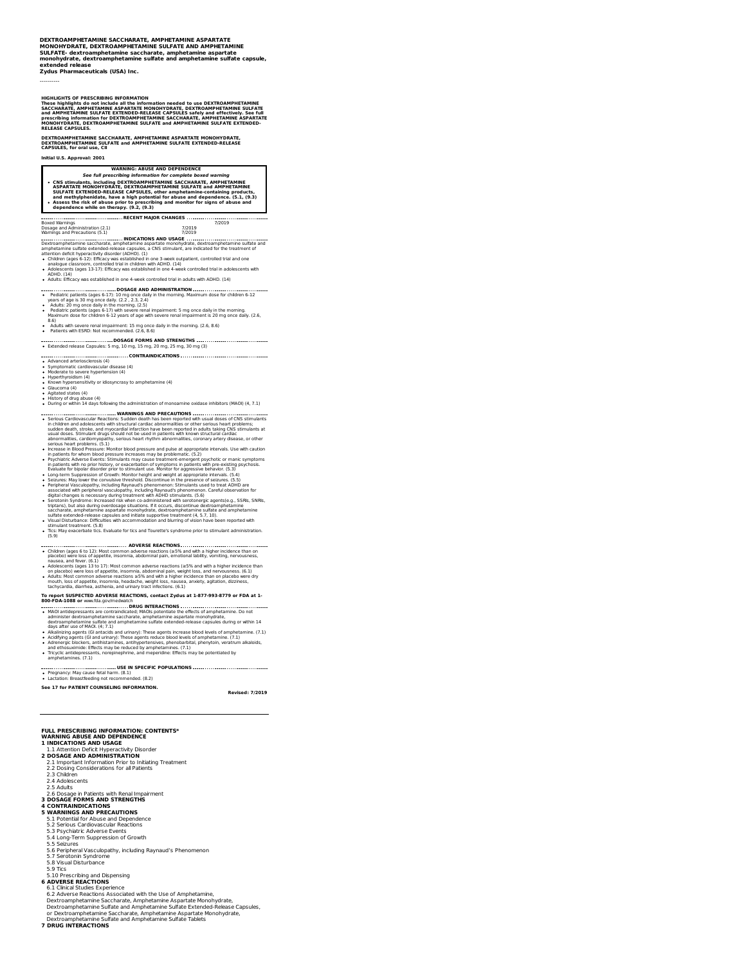**DEXTROAMPHETAMINE SACCHARATE, AMPHETAMINE ASPARTATE MONOHYDRATE, DEXTROAMPHETAMINE SULFATE AND AMPHETAMINE SULFATE- dextroamphetamine saccharate, amphetamine aspartate monohydrate, dextroamphetamine sulfate and amphetamine sulfate capsule,**

**extended release Zydus Pharmaceuticals (USA) Inc.**

----------

HIGHLIGHTS OF PRESCRIBING INFORMATION<br>SACCHARATE, AMPHETANINE GAPRITATION INFORMATE, DEXTROAMPHETAMINE<br>SACCHARATE, AMPHETAMINE ASPARTATE MONOHYDRATE, DEXTROAMPHETAMINE SULFATE<br>and AMPHETAMINE SULFATE EXTENDED RELEASE CAPSU

DEXTROAMPHETAMINE SACCHARATE, AMPHETAMINE ASPARTATE MONOHYDRATE,<br>DEXTROAMPHETAMINE SULFATE and AMPHETAMINE SULFATE EXTENDED-RELEASE<br>CAPSULES, for oral use, CII

#### **Initial U.S. Approval: 2001**

# See full prescribing information for complete boxed warning<br>CNS stimulants, including DEXTROAMPIETAMINE<br>ASPARTATE MONOHYDRATE, DESTROAMPIETAMINE SACCHARATE, AMPHETAMINE<br>SULFATE EXTROAMPIETAMINE SULFATE and AMPHETAMINE<br>and

**RECENT MAJOR CHANGES** Boxed Warnings 7/2019

#### Dosage and Administration (2.1) The contract of the matter of the matter of the matter of the matter of the Do Warnings and Precautions (5.1) 7/2019

**INDICATIONS AND USAGE** Dextroamphetamine saccharate, amphetamine aspartate monohydrate, dextroamphetamine sulfate extended-release capsules, a CNS stimulant, are indicated for the treatment of<br>attention deficit hyperactivity disorder (ADHD). (1)

- 
- olescents (ages 13-17): Efficacy was established in جينة المسابقة .<br>HD. (14)<br>It's: Efficacy was established in one 4-week controlled trial in adults with ADHD. (14)

#### Adults: Efficacy was established in one 4-week controlled trial in adults with ADHD. (14)

- **DOSAGE AND ADMINISTRATION** Pediatric patients (ages 6-17): 10 mg once daily in the morning. Maximum dose for children 6-12 years of age is 30 mg once daily. (2.2 , 2.3, 2.4) Adults: 20 mg once daily in the morning. (2.5) Pediatric patients (ages 6-17) with severe renal impairment: 5 mg once daily in the morning. Maximum dose for children 6-12 years of age with severe renal impairment is 20 mg once daily. (2.6, 8.6)
- 
- 
- 
- Adults with severe renal impairment: 15 mg once daily in the morning. (2.6, 8.6)<br>Patients with ESRD: Not recommended. (2.6, 8.6)

### **DOSAGE FORMS AND STRENGTHS** Extended release Capsules: 5 mg, 10 mg, 15 mg, 20 mg, 25 mg, 30 mg (3)

- **CONTRAINDICATIONS** Advanced arteriosclerosis (4)
- 

## Symptomatic cardiovascular disease (4)<br>Moderate to severe hypertension (4)<br>Hyperthyroidism (4)<br>Known hypersensitivity or idiosyncrasy to amphetamine (4)<br>Glaucoma (4)

- 
- 
- Agitated states (4)<br>History of drug abuse (4)<br>During or within 14 days following the administration of monoamine oxidase inhibitors (MAOI) (4, 7.1)
- **WARNINGS AND PRECAUTIONS** Serious Cardiovascular Reactions: Sudden death has been reported with usual doses of CNS stimulants in children and adolescents with structural cardiac abnormalities or other serious heart problems; sudden death, stroke, and myocardial infarction have been reported in adults taking CNS stimulants at usual doses. Stimulant drugs should not be used in patients with known structural cardiac abnormalities, cardiomyopathy, serious heart rhythm abnormalities, coronary artery disease, or other serious heart problems. (5.1) Increase in Blood Pressure: Monitor blood pressure and pulse at appropriate intervals. Use with caution in patients for whom blood pressure increases may be problematic. (5.2) Psychiatric Adverse Events: Stimulants may cause treatment-emergent psychotic or manic symptoms in patients with no prior history, or exacerbation of symptoms in patients with pre-existing psychosis. Evaluate for bipolar disorder prior to stimulant use. Monitor for aggressive behavior. (5.3) Long-term Suppression of Growth: Monitor height and weight at appropriate intervals. (5.4) Seizures: May lower the convulsive threshold. Discontinue in the presence of seizures. (5.5) Peripheral Vasculopathy, including Raynaud's phenomenon: Stimulants used to treat ADHD are associated with peripheral vasculopathy, including Raynaud's phenomenon. Careful observation for digital changes is necessary during treatment with ADHD stimulants. (5.6) Serotonin Syndrome: Increased risk when co-administered with serotonergic agents(e.g., SSRIs, SNRIs, triptans), but also during overdosage situations. If it occurs, discontinue dextroamphetamine saccharate, amphetamine aspartate monohydrate, dextroamphetamine sulfate and amphetamine sulfate extended-release capsules and initiate supportive treatment (4, 5.7, 10). Visual Disturbance: Difficulties with accommodation and blurring of vision have been reported with stimulant treatment. (5.8) Tics: May exacerbate tics. Evaluate for tics and Tourette's syndrome prior to stimulant administration.
- 
- 
- 
- 
- stimulant t<br>Tics: May e<br>(5.9)

- **ADVERSE REACTIONS** Children (ages 6 to 12): Most common adverse reactions (≥5% and with a higher incidence than on placebo) were loss of appetite, insomnia, abdominal pain, emotional lability, vomiting, nervousness, nausea, and fever. (6.1) Adolescents (ages 13 to 17): Most common adverse reactions (≥5% and with a higher incidence than on placebo) were loss of appetite, insomnia, abdominal pain, weight loss, and nervousness. (6.1) Adults: Most common adverse reactions ≥5% and with a higher incidence than on placebo were dry mouth, loss of appetite, insomnia, headache, weight loss, nausea, anxiety, agitation, dizziness, tachycardia, diarrhea, asthenia, and urinary tract infections. (6.1)
- 
- 
- 

- To report SUSPECTED ADVERSE REACTIONS, contact Zydus at 1-877-993-8779 or FDA at 1-<br>  $\cdots$  MOVEM CONTERNATIONS, contact Zydus at 1-877-993-8779 or FDA at 1-<br>  $\cdots$  MOVI antidepressants are contraindated; MAOS potentiate t
- 
- 
- 
- 
- 

-----------------------------------**USE IN SPECIFIC POPULATIONS** ----<br>Pregnancy: May cause fetal harm. (8.1)<br>Lactation: Breastfeeding not recommended. (8.2)

**See 17 for PATIENT COUNSELING INFORMATION.**

**Revised: 7/2019**

#### **FULL PRESCRIBING INFORMATION: CONTENTS\* WARNING ABUSE AND DEPENDENCE 1 INDICATIONS AND USAGE**

- 
- 1.1 Attention Deficit Hyperactivity Di<br>2 DOSAGE AND ADMINISTRATION
- **2 DOSAGE AND ADMINISTRATION**<br>
2.1 Important Information Prior to Initiating Treatment<br>
2.2 Dosing Considerations for all Patients<br>
2.3 Children
- 
- 
- 2.4 Adolescents<br>2.5 Adults
- 

- 
- 
- 
- 
- 
- 2.6 Dosage in Patients with Renal Impairment<br>**3 DOSAGE FORMS AND STRENGTHS**<br>**5 WARNINGS AND PRECAUTIONS**<br>**5 WARNINGS AND PRECAUTIONS**<br>**5.1** Potential for Abuse and Dependence<br>5.2 Serous Cardiovascular Reactions<br>5.3 Psychat
- 
- 
- 5.10 Prescribing and Dispensing **6 ADVERSE REACTIONS**
- 
- 6.1 Clinical Studies Experience<br>6.2 Adverse Reactions Associated with the Use of Amphetamine,
- Dextroamphetamine Saccharate, Amphetamine Aspartate Monohydrate,<br>Dextroamphetamine Sulfate and Amphetamine Sulfate Extended-Release Capsules,<br>or Dextroamphetamine Saccharate, Amphetamine Aspartate Monohydrate,<br>Dextroamphet
- 
-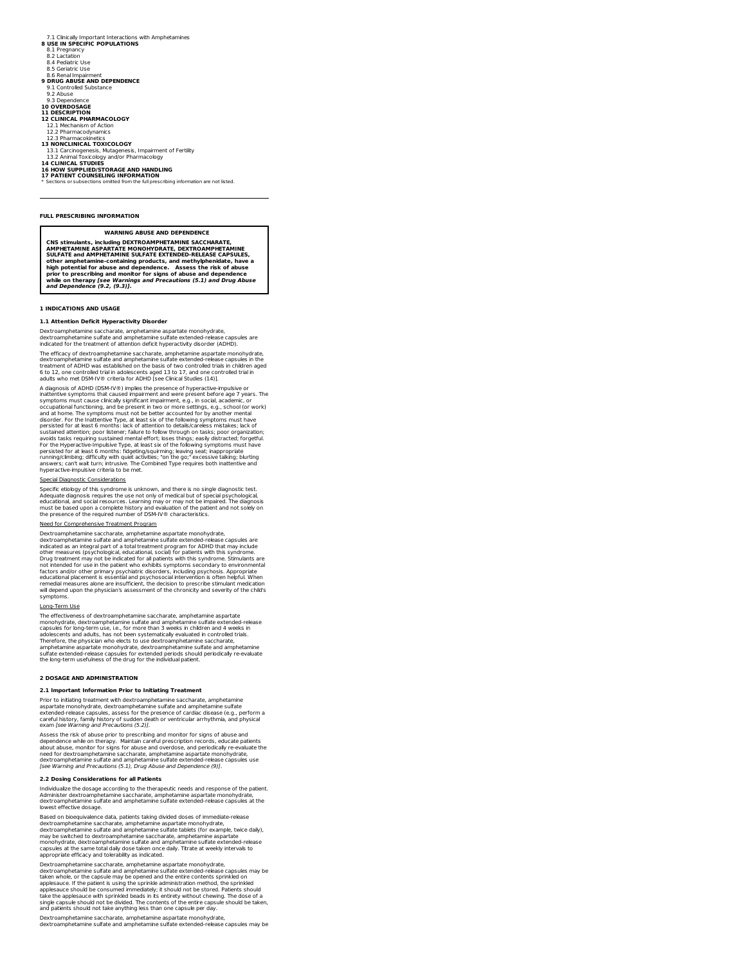7.1 Clinically Important Interactions with Amphetamines **8 USE IN SPECIFIC POPULATIONS** 8.1 Pregnancy 8.2 Lactation 8.4 Pediatric Use 8.5 Geriatric Use 8.6 Renal Impairment **9 DRUG ABUSE AND DEPENDENCE** Controlled Substa 9.2 Abuse 9.3 Dependence **10 OVERDOSAGE 11 DESCRIPTION 12 CLINICAL PHARMACOLOGY** 12.1 Mechanism of Action<br>12.2 Pharmacodynamics 12.3 Pharmacokinetics **13 NONCLINICAL TOXICOLOGY** 13.1 Carcinogenesis, Mutagenesis, Impairment of Fertility 13.2 Animal Toxicology and/or Pharmacology **14 CLINICAL STUDIES 16 HOW SUPPLIED/STORAGE AND HANDLING 17 PATIENT COUNSELING INFORMATION** \* Sections or subsections omitted from the full prescribing information are not listed.

#### **FULL PRESCRIBING INFORMATION**

**WARNING ABUSE AND DEPENDENCE CNS stimulants, including DEXTROAMPHETAMINE SACCHARATE,** AMPHETAMINE ASPARTATE MONOHYDRATE, DEXTROAMPHETAMINE<br>SULFATE and AMPHETAMINE SULFATE EXTENDED-RELEASE CAPSULES,<br>other amphetamine-containing products, and methylphenidate, have a<br>high potential for abuse and dependence. As

#### **1 INDICATIONS AND USAGE**

#### **1.1 Attention Deficit Hyperactivity Disorder**

Dextroamphetamine saccharate, amphetamine aspartate monohydrate,<br>dextroamphetamine sulfate and amphetamine sulfate extended-release capsules are<br>indicated for the treatment of attention deficit hyperactivity disorder (ADHD

The efficacy of dextroamphetamine saccharate, amphetamine aspartate monohydrate,<br>dextroamphetamine sulfate and amphetamine sulfate extended-release capsules in the<br>treatment of ADHD was established on the basis of two cont

A diagnosis of ADHD (DSM-1/V®) implies the presence of hyperactive-impulsive or<br>Andaphosis of ADHD (DSM-1/V®) implies the presence of hyperactive-impulsive or<br>protons must cause clinically significant impairment and were p

#### Special Diagnostic Considerations

Specific etiology of this syndrome is unknown, and there is no single diagnostic test.<br>Adequate diagnosis requires the use not only of medical but of special psychological,<br>educational, and social resources. Learning may o

### Need for Comprehensive Treatment Program

Dextroamphetamine saccharate, amphetamine aspartate monohydrate, destroamphetamine suffate and amphetamine suffate extended-release capsules are detected as an integral part of a total treatment program for ADHD that may i

#### Long-Term Use

The effectiveness of dextroamphetamine saccharate, amphetamine aspartate<br>monohydrate, dextroamphetamine suifate and amphetamine suifate extended-release<br>capsules for long-term use, i.e., for more than 3 weeks in children a Therefore, the physician who elects to use dextroamphetamine saccharate,<br>amphetamine aspartate monohydrate, dextroamphetamine sulfate and amphetamine<br>sulfate extended-release capsules for extended periods should periodical

#### **2 DOSAGE AND ADMINISTRATION**

#### **2.1 Important Information Prior to Initiating Treatment**

Prior to initiating treatment with dextroamphetamine saccharate, amphetamine<br>aspartate monohydrate, dextroamphetamine sulfate and amphetamine sulfate<br>extended-release capsules, assess for the presence of cardiac disease (e

Assess the risk of abuse prior to prescribing and monitor for signs of abuse and<br>dependence while on therapy. Maintain careful prescription records, educate patients<br>about abuse, monitor for signs for abuse and overdose, a [see Warning and Precautions (5.1), Drug Abuse and Dependence (9)].

#### **2.2 Dosing Considerations for all Patients**

Individualize the dosage according to the therapeutic needs and response of the patient. Administer dextroamphetamine saccharate, amphetamine aspartate monohydrate,<br>dextroamphetamine sulfate and amphetamine sulfate extended-release capsules at the lowest effective dosage.

Based on bioequivalence data, patients taking divided doses of immediate-release dextroamphetamine saccharate, amphetamine aspartate monohydrate,<br>dextroamphetamine suffate and amphetamine suffate tablets (for example, twice daily),<br>may be switched to dextroamphetamine saccharate, amphetamine aspartate<br>

Dextroamphetamine saccharate, amphetamine aspartate monohydrate,<br>dextroamphetamine suffate and amphetamine suffate extended-release capsules may be taken whole, or the capsule may be opened and the entire contents sprinkle

Dextroamphetamine saccharate, amphetamine aspartate monohydrate,<br>dextroamphetamine sulfate and amphetamine sulfate extended-release capsules may be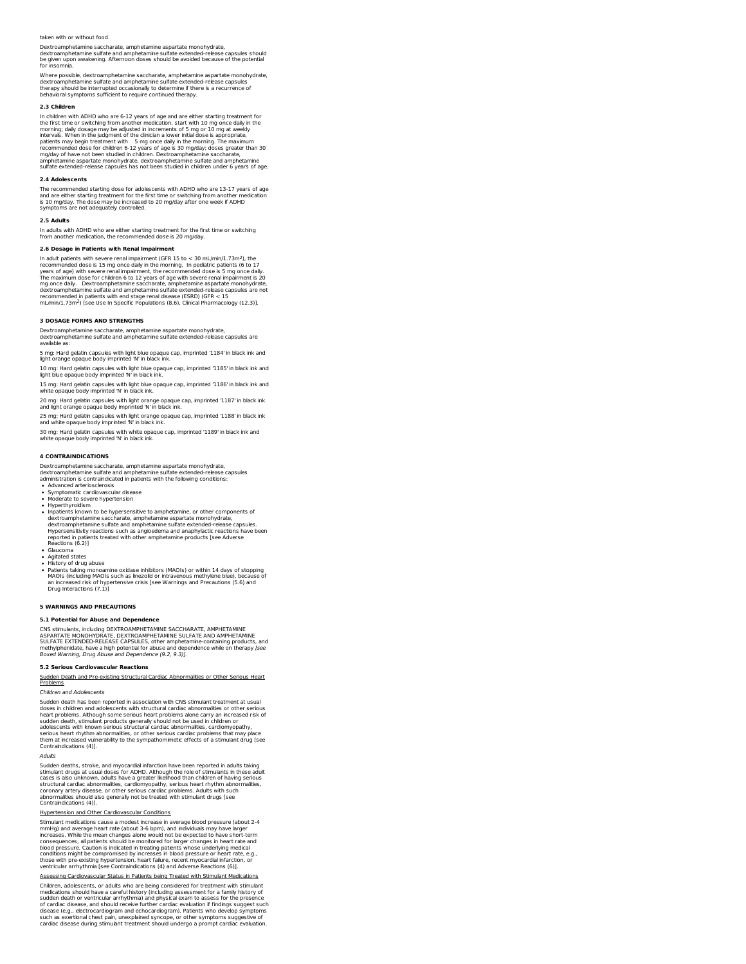#### taken with or without food.

Dextroamphetamine saccharate, amphetamine aspartate monohydrate,<br>dextroamphetamine sulfate and amphetamine sulfate extended-release capsules should<br>be piven upon awakening. Afternoon doses should be avoided because of the

Where possible, dextroamphetamine saccharate, amphetamine aspartate monohydrate, dextroamphetamine sulfate and amphetamine sulfate extended-release capsules<br>therapy should be interrupted occasionally to determine if there is a recurrence of<br>behavioral symptoms sufficient to require continued therapy.

#### **2.3 Children**

In children with ADHD who are 6-12 years of age and are either starting treatment for the first time or switching from another medication, start with 10 mg once daily in the mord informing; daily dosage may be adjusted in increments of 5 mg or 10 mg at weekly<br>intervals. When in the judgment of the clinician

#### **2.4 Adolescents**

The recommended starting dose for adolescents with ADHD who are 13-17 years of age<br>and are either starting treatment for the first time or switching from another medication<br>is 10 mg/day. The dose may be increased to 20 mg/

#### **2.5 Adults**

In adults with ADHD who are either starting treatment for the first time or switching from another medication, the recommended dose is 20 mg/day.

#### **2.6 Dosage in Patients with Renal Impairment**

In adult patients with severe renal impairment (GFR 15 to < 30 mL/min/1.73m<sup>2</sup>), the commended dose is 15 mg once daily in the morning. In polatic patients (6 to 17 mg once daily.<br>The morning of the severe renal impairmen 2) t 2

**3 DOSAGE FORMS AND STRENGTHS<br>Dextroamphetamine saccharate, amphetamine aspartate monohydrate,<br>dextroamphetamine sulfate and amphetamine sulfate extended-release capsules are<br>available as:** 

5 mg: Hard gelatin capsules with light blue opaque cap, imprinted '1184' in black ink and light orange opaque body imprinted 'N' in black ink.

10 mg: Hard gelatin capsules with light blue opaque cap, imprinted '1185' in black ink and light blue opaque body imprinted 'N' in black ink.

15 mg: Hard gelatin capsules with light blue opaque cap, imprinted '1186' in black ink and white opaque body imprinted 'N' in black ink.

20 mg: Hard gelatin capsules with light orange opaque cap, imprinted '1187' in black ink<br>and light orange opaque body imprinted 'N' in black ink.

25 mg: Hard gelatin capsules with light orange opaque cap, imprinted '1188' in black ink<br>and white opaque body imprinted 'N' in black ink.

30 mg: Hard gelatin capsules with white opaque cap, imprinted '1189' in black ink and<br>white opaque body imprinted 'N' in black ink.

#### **4 CONTRAINDICATIONS**

Dextroamphetamine saccharate, amphetamine aspartate monohydrate,<br>dextroamphetamine sulfate and amphetamine sulfate extended-release capsules<br>administration is contraindicated in patients with the following conditions:<br>• Sy

- 
- 
- Moderate to severe hypertension Hyperthyroidism
- Inpatients known to be hypersensitive to amphetamine, or other components of dextroamphetamine saccharate, amphetamine aspartate monohydrate,<br>dextroamphetamine sulfate and amphetamine sulfate extended-release capsules.<br>Hypersensitivity reactions such as angioedema and anaphylactic reactions have be reported in patie<br>Reactions (6.2)]
- Glaucoma Agitated states
- History of drug abuse

Patients taking monoamine oxidase inhibitors (MAOIs) or within 14 days of stopping<br>MAOIs (including MAOIs such as linezolid or intravenous methylene blue), because of<br>an increased risk of hypertensive crisis [see Warnings

#### **5 WARNINGS AND PRECAUTIONS**

#### **5.1 Potential for Abuse and Dependence**

CNS stimulans, including DEXTROAMPHETAMINE SACCHARATE, AMPHETAMINE<br>ASPARTATE MONOHYDRATE, DEXTROAMPHETAMINE SULFATE AND AMPHETAMINE<br>SULFATE EXTENDED-RELEASE CAPSULES, other amphetamine-containing products, and<br>methylphenid

#### **5.2 Serious Cardiovascular Reactions**

Sudden Death and Pre-existing Structural Cardiac Abnormalities or Other Serious Heart<br>Problems

#### Children and Adolescents

Sudden death has been reported in association with CNS stimulant treatment at usual doses in children and adolescents with structural cardiac abnormalities or other serious<br>heart problems. Although some serious heart problems alone carry an increased risk of sudden death, stimulant products generally should not be used in children or<br>adolescents with known serious structural cardiac abnormalities, cardiomyopathy, serious heart rhythm abnormalities, or other serious cardiac problems that may place<br>them at increased vulnerability to the sympathomimetic effects of a stimulant drug [see<br>Contraindications (4)].

#### Adults

Sudden deaths, stroke, and myocardial infarction have been reported in adults taking stimulant drugs at usual doses for ADHD. Although the role of stimulants in these adult<br>cases is also unknown, adults have a greater likelihood than children of having serious<br>structural cardiac aboromalities, cardiomyopat

#### Hypertension and Other Cardiovascular Conditions

Stimulant medications cause a modest increase in average blood pressure (about 2-4<br>smmHg) and average heart rate (about 3-6 bpm), and individuals may have larger<br>increases. While the mean changes alone would not be expecte

Assessing Cardiovascular Status in Patients being Treated with Stimulant Medications Children, adolescents, or adults who are being considered for treatment with stimulant medications should have a careful history (including assessment for a family history of<br>sudden death or ventricular arrhythmia) and physical exam to assess for the presence of cardiac disease, and should receive further cardiac evaluation if findings suggest such<br>disease (e.g., electrocardiogram and echocardiogram). Patients who develop symptoms such as exertional chest pain, unexplained syncope, or other symptoms suggestive of<br>cardiac disease during stimulant treatment should undergo a prompt cardiac evaluation.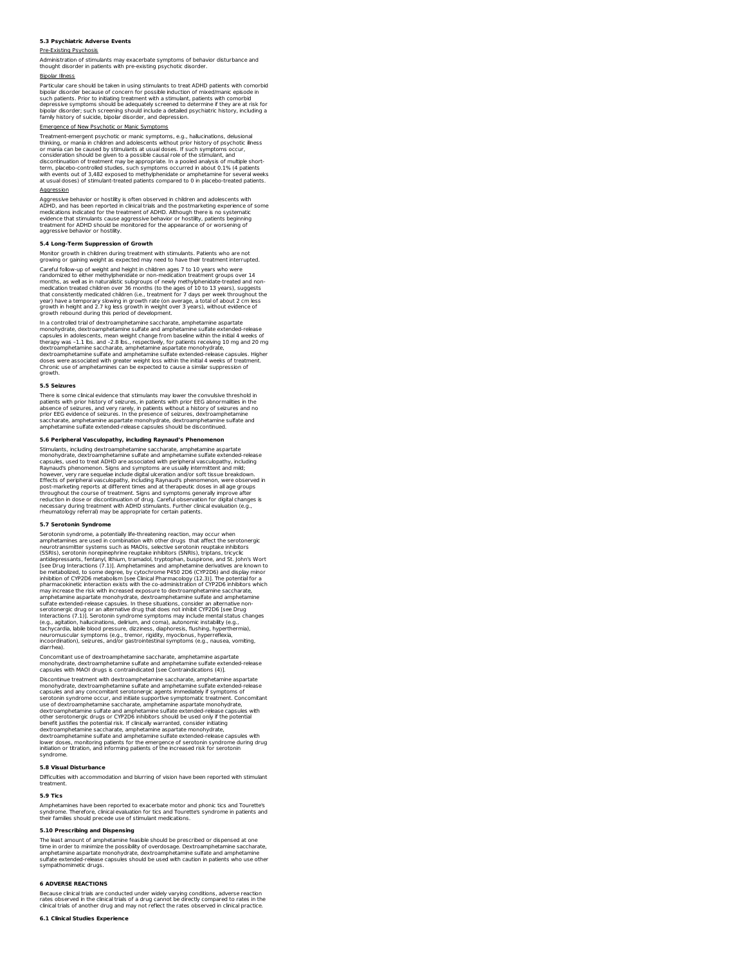#### **5.3 Psychiatric Adverse Events**

#### Pre-Existing Psychosis

Administration of stimulants may exacerbate symptoms of behavior disturbance and thought disorder in patients with pre-existing psychotic disorder.

#### Bipolar Illness

Particular care should be taken in using stimulants to treat ADHD patients with comorbid<br>bipolar disorder because of concern for possible induction of mixed/manic episode in<br>such patients. Prior to initialing treatment wit

#### Emergence of New Psychotic or Manic Symptoms

Treatment-emergent psychotic or manic symptoms, e.g., hallucinations, delusional<br>thinking, or mania in children and adolescents without prior history of psychotic illness<br>consideration should be given to a possible causal

#### Aggression

Aggressive behavior or hostliky is often observed in children and adolescents with<br>ADHD, and has been reported in clinical trials and the postmarketing experience of some<br>medications indicated for the treatment of ADHD. Al

#### **5.4 Long-Term Suppression of Growth**

Monitor growth in children during treatment with stimulants. Patients who are not<br>growing or gaining weight as expected may need to have their treatment interrupted.

Careful follow-up of weight and height in children ages 7 to 10 years who were<br>radiomized to either methylphenidate or non-medication treatment groups over 14<br>months, as well as in naturalistic subgroups of newly methylphe

In a controlled trial of destroamphetamine sacharate, amphetamine asynatte<br>monohydrate, dextroamphetamine suifate and amphetamine suifate extended-release<br>capsules in adolescents, mean weight change from baseline within t

5.5 Seizures<br>There is some clinical evidence that stimulants may lower the convulsive threshold in<br>There is some clinical evidence that stimulates with prior EEG abnormalities in the<br>absence of seizures, and very rarely, i

5.6 Peripheral Vasculopathy, including Raynaud's Phenomenon<br>Stimuants, including dextroamphetamine saccharate, amphetamine aspartate<br>emonohydrate, dextroamphetamine suifate and amphetamine suifate extended-release<br>capsules

**5.7 Serotonin Syndrome**<br>
Serotonin Syndrome<br>
Serotonin syndrome, a potentially life-threatening reaction, may occur when<br>
emphetamines are used in combination with other drugs that affect the serotonergic<br>
emphetamines a

Concomitant use of dextroamphetamine saccharate, amphetamine aspartate monohydrate, dextroamphetamine sulfate and amphetamine sulfate extended-release capsules with MAOI drugs is contraindicated [see Contraindications (4)].

Discontinue treatment with dextroamphetamine saccharate, amphetamine aspartate<br>monohydrate, dextroamphetamine sulfate and amphetamine sulfate extended-release<br>capsules and any concomitant serotonergic agents immediately if use of dextroamphetamine saccharate, amphetamine aspartate monohydrate,<br>dextroamphetamine sulfate and amphetamine sulfate extended-release capsules with<br>other serotonergic drugs or CYP2D6 inhibitors should be used only if dextroamphetamine saccharate, amphetamine aspartate monohydrate,<br>dextroamphetamine suffate and amphetamine sufate extended-release capsules with<br>lower doses, monitoring patients for the emergence of serotonin syndrome duri

#### **5.8 Visual Disturbance**

Difficulties with accommodation and blurring of vision have been reported with stimulant treatment.

#### **5.9 Tics**

Amphetamines have been reported to exacerbate motor and phonic tics and Tourette's<br>syndrome. Therefore, clinical evaluation for tics and Tourette's syndrome in patients and<br>their families should precede use of stimulant me

#### **5.10 Prescribing and Dispensing**

The least amount of amphetamine feasible should be prescribed or dispensed at one<br>time in order to minimize the possibility of overdosage. Dextroamphetamine saccharate,<br>amphetamine aspartate monohydrate, dextroamphetamine sympathomimetic drugs.

#### **6 ADVERSE REACTIONS**

Because clinical trials are conducted under widely varying conditions, adverse reaction<br>rates observed in the clinical trials of a drug cannot be directly compared to rates in the<br>clinical trials of another drug and may no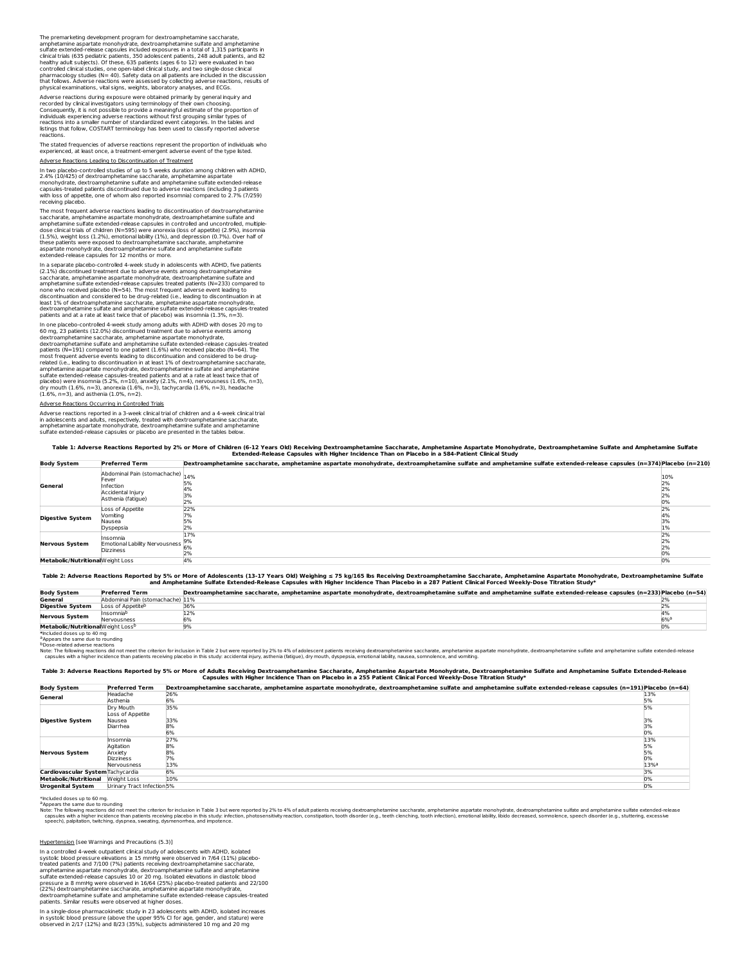The premarketing development program for dextroamphetamine saccharate,<br>amphetamine aspartate monohydrate, dextroamphetamine sulfate and amphetamine<br>sulfate extended-release capsules included exposures in a total of 1,315 p clinical trials (635 pediatric patients, 350 adolescent patients, 248 adult patients, and 82 healthy adult subjects). Of these, 635 patients (ages 6 to 12) were evaluated in two<br>controlled clinical studies, one open-label clinical study, and two single-dose clinical<br>pharmacology studies (N= 40). Safety data on all

Adverse reactions during exposure were obtained primarily by general inquiry and recorded by clinical investigators using terminology of their own choosing<br>Consequently, it is not possible to provide a meaningful estimate of the proportion of<br>individuals experiencing adverse reactions without first gro reactions.

The stated frequencies of adverse reactions represent the proportion of individuals who<br>experienced, at least once, a treatment-emergent adverse event of the type listed.

Adverse Reactions Leading to Discontinuation of Treatment<br>In two placebo-controlled studies of up to 5 weeks duration among children with ADHD,<br>2.4% (10/425) of dextroamphetamine saccharate, amphetamine aspartate<br>monohydra

The most frequent adverse reactions leading to discontinuation of dextroamphetamine saccharate, amphetamine aspartate monohydrate, dextroamphetamine sulfate and amphetamine sulfate extended-release capsules in controlled and uncontrolled, multiple dose clinical trials of children (N=595) were anorexia (loss of appetite) (2.9%), inso (1.5%), weight loss (1.2%), emotional lability (1%), and depression (0.7%). Over half of<br>these patients were exposed to dextroamphetamine saccharate, amphetamine<br>aspartate monohydrate, dextroamphetamine sulfate and ampheta extended-release capsules for 12 months or more.

In a separate placebo-controlled 4-week study in adolescents with ADHD, five patients (2.1%) discontinued treatment due to adverse events among dextroamphetamine sulfate and<br>saccharate, amphetamine aspartate monohydrate, dextroamphetamine sulfate and<br>amphetamine sulfate extended-release capsules treated pat

In one placebo-controlled 4-week study among adults with ADHD with doses 20 mg to 60 mg, 23 patients (12.0%) discontinued treatment due to adverse events among different and excharate, amphetamine exparatate monohydrate,

#### Adverse Reactions Occurring in Controlled Trials

Adverse reactions reported in a 3-week clinical trial of children and a 4-week clinical trial in adolescents and adults, respectively, treated with dextroamphetamine saccharate,<br>amphetamine aspartate monohydrate, dextroamphetamine sulfate and amphetamine<br>sulfate extended-release capsules or placebo are presented in

### Table 1: Adverse Reactions Reported by 2% or More of Children (6-12 Years Old) Receiving Dextroamphetamine Saccharate, Amphetamine Aspartate Monohydrate, Dextroamphetamine Sulfate and Amphetamine Sulfate<br>Extended: Extended

| <b>Body System</b>               | <b>Preferred Term</b>                                                                             | Dextroamphetamine saccharate, amphetamine aspartate monohydrate, dextroamphetamine sulfate and amphetamine sulfate extended-release capsules (n=374) Placebo (n=210) |                       |
|----------------------------------|---------------------------------------------------------------------------------------------------|----------------------------------------------------------------------------------------------------------------------------------------------------------------------|-----------------------|
| General                          | Abdominal Pain (stomachache) 14%<br>Fever<br>Infection<br>Accidental Injury<br>Asthenia (fatique) | 3%<br>2%                                                                                                                                                             | 10%<br>2%<br>2%<br>2% |
| <b>Digestive System</b>          | Loss of Appetite<br>Vomiting<br>Nausea<br>Dyspepsia                                               | 22%                                                                                                                                                                  | 2%<br>4%<br>3%<br>1%  |
| <b>Nervous System</b>            | Insomnia<br><b>Emotional Lability Nervousness</b><br><b>Dizziness</b>                             | 17%                                                                                                                                                                  | 2%<br>2%<br>2%        |
| Metabolic/NutritionalWeight Loss |                                                                                                   | 4%                                                                                                                                                                   | 0%                    |

### Table 2: Adverse Reactions Reported by 5% or More of Adolescents (13-17 Years Old) Weighing ≤ 75 kg/165 Ibs Receiving Dextroamphetamine Sulfate Extended-Release Capsules with Higher Incidence Than Placebo in a 287 Patient

| <b>Body System</b><br><b>Preferred Term</b>  |     | Dextroamphetamine saccharate, amphetamine aspartate monohydrate, dextroamphetamine sulfate and amphetamine sulfate extended-release capsules (n=233) Placebo (n=54) |
|----------------------------------------------|-----|---------------------------------------------------------------------------------------------------------------------------------------------------------------------|
| General<br>Abdominal Pain (stomachache) 11%  |     |                                                                                                                                                                     |
| <b>Digestive System</b><br>Loss of Appetiteb | 36% |                                                                                                                                                                     |
| Insomnial<br>Nervous Svstem                  | 12% |                                                                                                                                                                     |
| Nervousness                                  |     | 6%                                                                                                                                                                  |
| Metabolic/NutritionalWeight Lossb            |     |                                                                                                                                                                     |
| *Included doses up to 40 mg                  |     |                                                                                                                                                                     |

<sup>a</sup>Appears the same due to rounding<br><sup>b</sup>Dose-related adverse reactions

Note: The following reactions did not meet the criterion for his instanded release e poted by 2% to 4% of adolescent patents receiving dextroamplear men be and and ampletamine sulfate addentional sulfate extended-release c

### Table 3: Adverse Reactions Reported by 5% or More of Adults Receiving Dextroamphetamine Sumphetamine Adverse, Dextroamphetamine Sulfate and Amphetamine Sulfate Extended Release<br>Capsules Through The Capsules with Higher Inc

pdy System Preferred Term Dextroamphetamine saccharate, amphetamine aspartate monohydrate, dextroamphetamine sulfate and amphetamine sulfate extended-release capsules (n=191)|Placebo (n=64) **eneral** Headach<br>Asthenia 26% 6% 13% 5% **Digestive System** Dry Mouth Loss of Appetite Nausea<br>Diarrhea 35% 33% 8% 6% 5% 3% 3% 0% **Nervous System** somnia Agitation Anxiety<br>Dizziness Nervousness 27% 8% 8% 7% 13% 13% 5% 5% 0% 13% **Cardiovascular System**Tachycardia 6% 3% **Metabolic/Nutritional** Weight Loss 10% 0% **Urogenital System** Urinary Tract Infection5% 0% a

\*Included doses up to 60 mg.<br><sup>a</sup>Appears the same due to rounding

Note: The following reactions did not meet the criterion for inclusion in Table 3 but were reported by 2% to 4% of adult patients receiving dextroamphetamine saccharate, amphetamine saparate monohydrate, dextroamphetamine

Hypertension [see Warnings and Precautions (5.3)]<br>In a controlled 4-week outpatient clinical study of adolescents with ADHD, isolated<br>aystolic blood pressure devations ≥ 15 mmHg were observed in 7/64 (11%) placebo-<br>treated

In a single-dose pharmacokinetic study in 23 adolescents with ADHD, isolated increases<br>in systolic blood pressure (above the upper 95% CI for age, gender, and stature) were<br>observed in 2/17 (12%) and 8/23 (35%), subjects a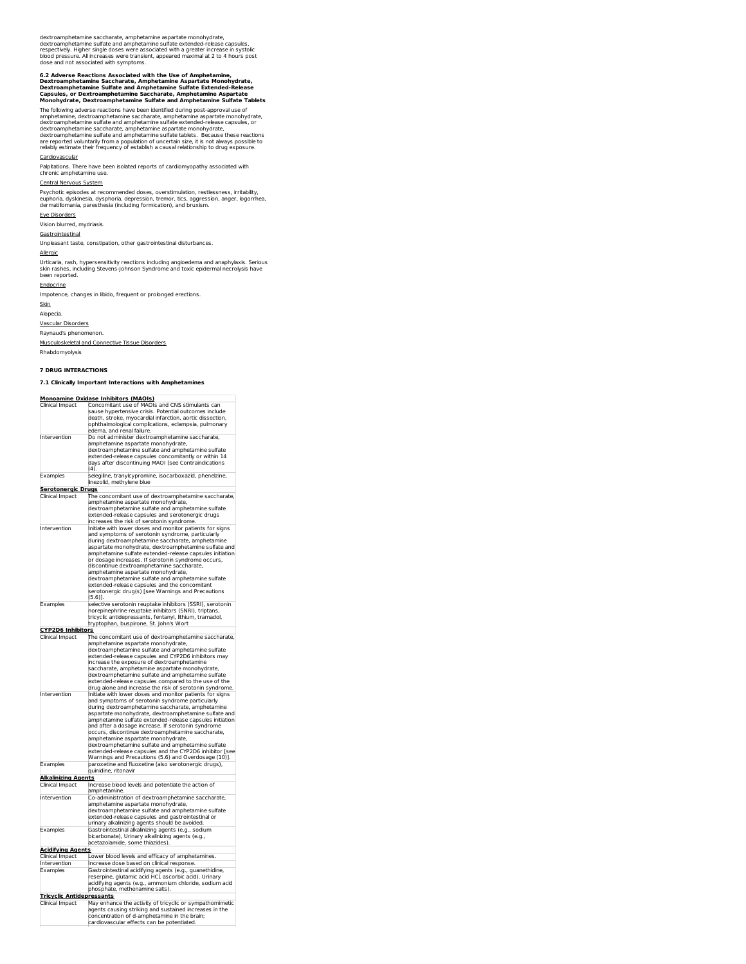dextroamphetamine saccharate, amphetamine aspartate monohydrate,<br>dextroamphetamine sulfate and amphetamine sulfate extended-release capsules,<br>respectively. Higher single doses were associated with a greater increase in sys

6.2 Adverse Reactions Associated with the Use of Amphetamine,<br>Dextroamphetamine Saccharate, Amphetamine Aspartate Monohydrate,<br>Dextroamphetamine Sulfate and Amphetamine Sulfate Extended-Release<br>Capsules, or Dextroamphetami

The following adverse reactions have been identified during post-approval use of<br>amphetamine, dextroamphetamine saccharate, amphetamine aspartate monohydrate,<br>dextroamphetamine suffate and amphetamine suffate extended-rele

#### Cardiovascular

Palpitations. There have been isolated reports of cardiomyopathy associated with chronic amphetamine use.

### Central Nervous System

Psychotic episodes at recommended doses, overstimulation, restlessness, irritability,<br>euphoria, dyskinesia, dysphoria, depression, tremor, tics, aggression, anger, logorrhea,<br>dermatillomania, paresthesia (including formica

#### Eye Disorders

Vision blurred, mydriasis. Gastrointestinal

Unpleasant taste, constipation, other gastrointestinal disturbances. Allergic

Urticaria, rash, hypersensitivity reactions including angioedema and anaphylaxis. Serious<br>skin rashes, including Stevens-Johnson Syndrome and toxic epidermal necrolysis have<br>been reported.

#### Endocrine

Impotence, changes in libido, frequent or prolonged erections.

Skin Alopecia.

### Vascular Disorders

Raynaud's phenomenon.

Musculoskeletal and Connective Tissue Disorders

### Rhabdomyolysis

#### **7 DRUG INTERACTIONS**

### **7.1 Clinically Important Interactions with Amphetamines**

| Clinical Impact                                                                                                                               |                                                                                                                                                                                                               |
|-----------------------------------------------------------------------------------------------------------------------------------------------|---------------------------------------------------------------------------------------------------------------------------------------------------------------------------------------------------------------|
|                                                                                                                                               | Concomitant use of MAOIs and CNS stimulants can                                                                                                                                                               |
|                                                                                                                                               | sause hypertensive crisis. Potential outcomes include                                                                                                                                                         |
|                                                                                                                                               | death, stroke, myocardial infarction, aortic dissection,                                                                                                                                                      |
|                                                                                                                                               | ophthalmological complications, eclampsia, pulmonary                                                                                                                                                          |
|                                                                                                                                               | edema, and renal failure                                                                                                                                                                                      |
| Intervention                                                                                                                                  | Do not administer dextroamphetamine saccharate,                                                                                                                                                               |
|                                                                                                                                               | amphetamine aspartate monohydrate,                                                                                                                                                                            |
|                                                                                                                                               | dextroamphetamine sulfate and amphetamine sulfate                                                                                                                                                             |
|                                                                                                                                               | extended-release capsules concomitantly or within 14                                                                                                                                                          |
|                                                                                                                                               |                                                                                                                                                                                                               |
|                                                                                                                                               | days after discontinuing MAOI [see Contraindications                                                                                                                                                          |
|                                                                                                                                               | (4)                                                                                                                                                                                                           |
| Examples                                                                                                                                      | selegiline, tranylcypromine, isocarboxazid, phenelzine,                                                                                                                                                       |
|                                                                                                                                               | linezolid, methylene blue                                                                                                                                                                                     |
| <u>Serotonergic Drugs</u>                                                                                                                     |                                                                                                                                                                                                               |
| Clinical Impact                                                                                                                               | The concomitant use of dextroamphetamine saccharate,                                                                                                                                                          |
|                                                                                                                                               | amphetamine aspartate monohydrate,                                                                                                                                                                            |
|                                                                                                                                               | dextroamphetamine sulfate and amphetamine sulfate                                                                                                                                                             |
|                                                                                                                                               | extended-release capsules and serotonergic drugs                                                                                                                                                              |
|                                                                                                                                               |                                                                                                                                                                                                               |
|                                                                                                                                               | increases the risk of serotonin syndrome                                                                                                                                                                      |
| Intervention                                                                                                                                  | Initiate with lower doses and monitor patients for signs                                                                                                                                                      |
|                                                                                                                                               | and symptoms of serotonin syndrome, particularly                                                                                                                                                              |
|                                                                                                                                               | during dextroamphetamine saccharate, amphetamine                                                                                                                                                              |
|                                                                                                                                               | aspartate monohydrate, dextroamphetamine sulfate and                                                                                                                                                          |
|                                                                                                                                               | amphetamine sulfate extended-release capsules initiation                                                                                                                                                      |
|                                                                                                                                               | or dosage increases. If serotonin syndrome occurs,                                                                                                                                                            |
|                                                                                                                                               | discontinue dextroamphetamine saccharate,                                                                                                                                                                     |
|                                                                                                                                               | amphetamine aspartate monohydrate,                                                                                                                                                                            |
|                                                                                                                                               | dextroamphetamine sulfate and amphetamine sulfate                                                                                                                                                             |
|                                                                                                                                               |                                                                                                                                                                                                               |
|                                                                                                                                               | extended-release capsules and the concomitant                                                                                                                                                                 |
|                                                                                                                                               | serotonergic drug(s) [see Warnings and Precautions                                                                                                                                                            |
|                                                                                                                                               | $(5.6)$ ].                                                                                                                                                                                                    |
| Examples                                                                                                                                      | selective serotonin reuptake inhibitors (SSRI), serotonin                                                                                                                                                     |
|                                                                                                                                               | norepinephrine reuptake inhibitors (SNRI), triptans,                                                                                                                                                          |
|                                                                                                                                               | tricyclic antidepressants, fentanyl, lithium, tramadol,                                                                                                                                                       |
|                                                                                                                                               | tryptophan, buspirone, St. John's Wort                                                                                                                                                                        |
| CYP2D6 Inhibitors                                                                                                                             |                                                                                                                                                                                                               |
|                                                                                                                                               |                                                                                                                                                                                                               |
| Clinical Impact                                                                                                                               | The concomitant use of dextroamphetamine saccharate,                                                                                                                                                          |
|                                                                                                                                               | amphetamine aspartate monohydrate,                                                                                                                                                                            |
|                                                                                                                                               | dextroamphetamine sulfate and amphetamine sulfate                                                                                                                                                             |
|                                                                                                                                               | extended-release capsules and CYP2D6 inhibitors may                                                                                                                                                           |
|                                                                                                                                               | increase the exposure of dextroamphetamine                                                                                                                                                                    |
|                                                                                                                                               | saccharate, amphetamine aspartate monohydrate,                                                                                                                                                                |
|                                                                                                                                               | dextroamphetamine sulfate and amphetamine sulfate                                                                                                                                                             |
|                                                                                                                                               | extended-release capsules compared to the use of the                                                                                                                                                          |
|                                                                                                                                               | drug alone and increase the risk of serotonin syndrome.                                                                                                                                                       |
| Intervention                                                                                                                                  | Initiate with lower doses and monitor patients for signs                                                                                                                                                      |
|                                                                                                                                               | and symptoms of serotonin syndrome particularly                                                                                                                                                               |
|                                                                                                                                               |                                                                                                                                                                                                               |
|                                                                                                                                               | during dextroamphetamine saccharate, amphetamine                                                                                                                                                              |
|                                                                                                                                               |                                                                                                                                                                                                               |
|                                                                                                                                               |                                                                                                                                                                                                               |
|                                                                                                                                               |                                                                                                                                                                                                               |
|                                                                                                                                               | and after a dosage increase. If serotonin syndrome                                                                                                                                                            |
|                                                                                                                                               | occurs, discontinue dextroamphetamine saccharate,                                                                                                                                                             |
|                                                                                                                                               | amphetamine aspartate monohydrate,                                                                                                                                                                            |
|                                                                                                                                               | dextroamphetamine sulfate and amphetamine sulfate                                                                                                                                                             |
|                                                                                                                                               |                                                                                                                                                                                                               |
|                                                                                                                                               |                                                                                                                                                                                                               |
|                                                                                                                                               | Warnings and Precautions (5.6) and Overdosage (10)].                                                                                                                                                          |
|                                                                                                                                               | paroxetine and fluoxetine (also serotonergic drugs),                                                                                                                                                          |
|                                                                                                                                               | quinidine, ritonavir                                                                                                                                                                                          |
|                                                                                                                                               |                                                                                                                                                                                                               |
|                                                                                                                                               | Increase blood levels and potentiate the action of                                                                                                                                                            |
|                                                                                                                                               | amphetamine.                                                                                                                                                                                                  |
|                                                                                                                                               |                                                                                                                                                                                                               |
|                                                                                                                                               | Co-administration of dextroamphetamine saccharate,                                                                                                                                                            |
|                                                                                                                                               | amphetamine aspartate monohydrate,                                                                                                                                                                            |
|                                                                                                                                               | dextroamphetamine sulfate and amphetamine sulfate                                                                                                                                                             |
|                                                                                                                                               | extended-release capsules and gastrointestinal or                                                                                                                                                             |
|                                                                                                                                               | urinary alkalinizing agents should be avoided.                                                                                                                                                                |
|                                                                                                                                               | Gastrointestinal alkalinizing agents (e.g., sodium                                                                                                                                                            |
|                                                                                                                                               | bicarbonate), Urinary alkalinizing agents (e.g.,                                                                                                                                                              |
|                                                                                                                                               |                                                                                                                                                                                                               |
|                                                                                                                                               | acetazolamide, some thiazides).                                                                                                                                                                               |
|                                                                                                                                               |                                                                                                                                                                                                               |
|                                                                                                                                               | Lower blood levels and efficacy of amphetamines.                                                                                                                                                              |
| Examples<br><b>Alkalinizing Agents</b><br>Clinical Impact<br>Intervention<br>Examples<br>Acidifying Agents<br>Clinical Impact<br>Intervention | Increase dose based on clinical response                                                                                                                                                                      |
| Examples                                                                                                                                      | Gastrointestinal acidifying agents (e.g., guanethidine,                                                                                                                                                       |
|                                                                                                                                               | reserpine, glutamic acid HCI, ascorbic acid). Urinary                                                                                                                                                         |
|                                                                                                                                               | acidifying agents (e.g., ammonium chloride, sodium acid                                                                                                                                                       |
|                                                                                                                                               |                                                                                                                                                                                                               |
|                                                                                                                                               | aspartate monohydrate, dextroamphetamine sulfate and<br>amphetamine sulfate extended-release capsules initiation<br>extended-release capsules and the CYP2D6 inhibitor [see<br>phosphate, methenamine salts). |
| <u> Tricyclic Antidepressants</u>                                                                                                             |                                                                                                                                                                                                               |
|                                                                                                                                               |                                                                                                                                                                                                               |
| Clinical Impact                                                                                                                               | May enhance the activity of tricyclic or sympathomimetic<br>agents causing striking and sustained increases in the<br>concentration of d-amphetamine in the brain;                                            |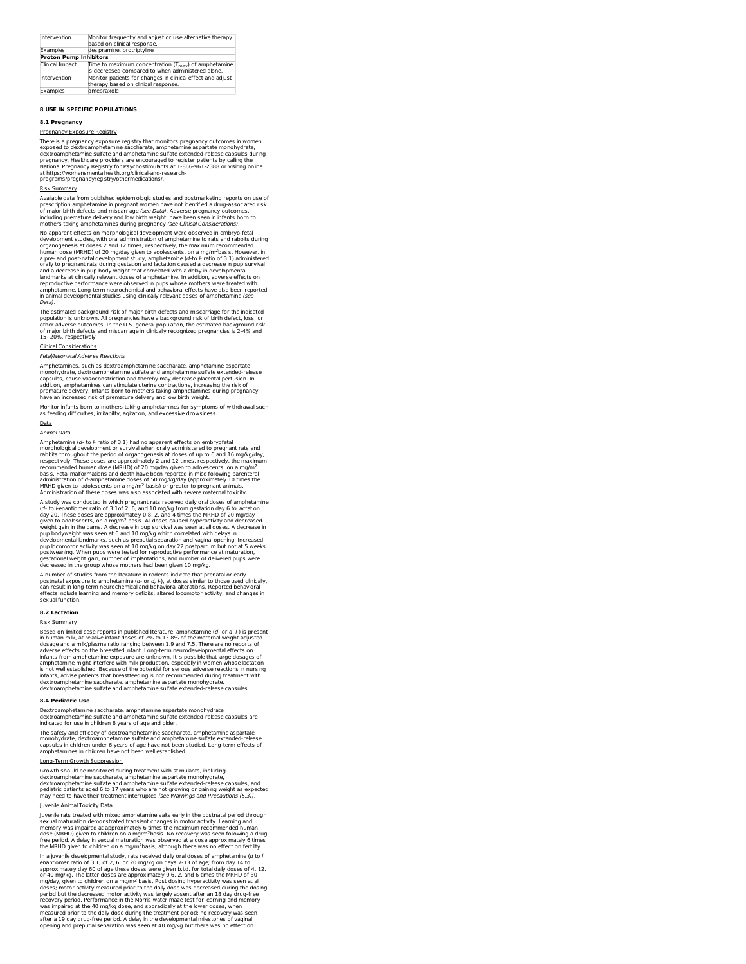| Intervention                  | Monitor frequently and adjust or use alternative therapy<br>based on clinical response.                       |
|-------------------------------|---------------------------------------------------------------------------------------------------------------|
| Examples                      | desipramine, protriptyline                                                                                    |
| <b>Proton Pump Inhibitors</b> |                                                                                                               |
| Clinical Impact               | Time to maximum concentration $(T_{max})$ of amphetamine<br>is decreased compared to when administered alone. |
| Intervention                  | Monitor patients for changes in clinical effect and adjust<br>therapy based on clinical response.             |
| Examples                      | omepraxole                                                                                                    |

#### **8 USE IN SPECIFIC POPULATIONS**

#### **8.1 Pregnancy**

Pregnancy Exposure Registry<br>
There is a pregnancy exposure registry that monitors pregnancy outcomes in women<br>
There is a pregnancy exposure registry that monitors pregnancy outcomes in women<br>
exprosed to dextroamphetamine

Risk Summary<br>Available data from published epidemiologic studies and postmarketing reports on use of<br>Prescription amphetamine in pregnant women have not identified a drug-associated risk<br>of major birth defects and miscarri

No apparent effects on morphological development were observed in embryo-fetal<br>development studies, with oral administration of amphetamine to rats and rabbits during<br>organogenesis at doses 2 and 12 times, respectively, th reproductive performance were observed in pups whose mothers were treated with<br>amphetamine. Long-term neurochemical and behavioral effects have also been reported<br>in animal developmental studies using clinically relevant d  $2<sub>ha</sub>$ 

The estimated background risk of major birth defects and miscarriage for the indicated<br>population is unknown. All pregnancies have a background risk of birth defect, bos.<br>other adverse outcomes. In the U.S. general populat

#### Clinical Considerations

Fetal/Neonatal Adverse Reactions

Amphetamines, such as dextroamphetamine saccharate, amphetamine aspartate<br>monohydrate, dextroamphetamine sulfate and amphetamine sulfate extended-release<br>capsules, cause vasoconstriction and thereby may decrease placental

Monitor infants born to mothers taking amphetamines for symptoms of withdrawal such as feeding difficulties, irritability, agitation, and excessive drowsiness.

### Data

Animal Data<br>Amphetamine (d- to  $F$  ratio of 3:1) had no apparent effects on embryofetal<br>Amphetamine (d- to  $F$  ratio of 3:1) had no apparent effects on embryofetal<br>ratblist hroughout the period of organogenesis at doses of 2  $2<sub>ha</sub>$ 

A study was conducted in which pregnant rats received daily oral dotes of amphetamine<br>A study was conducted in which pregnant rats received daily oral dots of the latation<br>day 20. These doses are approximately 0.8, 2, and  $2<sub>ha</sub>$ 

A number of studies from the literature in rodents indicate that prenatal or early<br>postnatal exposure to amphetamine (d- or d, l-), at doses similar to those used clinically,<br>can result in long-term neurochemical and behav sexual function.

#### **8.2 Lactation**

Risk Summary<br>Based on limited case reports in published fiterature, amphetamine ( $d$ - or  $d$ ,  $k$ ) is present<br>In human milk, at relative infant doses of 2% to 13.8% of the maternal weight-adjusted<br>dosage and a milk/plasma

#### **8.4 Pediatric Use**

Dextroamphetamine saccharate, amphetamine aspartate monohydrate,<br>dextroamphetamine sulfate and amphetamine sulfate extended-release capsules are<br>indicated for use in children 6 years of age and older.

The safety and efficacy of dextroamphetamine saccharate, amphetamine aspartate<br>monohydrate, dextroamphetamine sulfate and amphetamine sulfate extended-release<br>capsules in children under 6 years of age have not been studied

### Long-Term Growth Suppression

Growth should be monitored during treatment with stimulants, including<br>dextroamphetamine saccharate, amphetamine aspartate monohydrate,<br>dextroamphetamine sulfate and amphetamine sulfate extended-release capsules, and<br>pedia

#### Juvenile Animal Toxicity Data

juvenile rats treated with mixed amphetamine salts early in the postnatal period through<br>sexual maturation demonstrated transient changes in motor activity. Learning and<br>memory was impaired at approximately 6 times the max  $2<sub>ha</sub>$  $2<sub>ha</sub>$ 

In a juvenile developmental study, rats received daily oral doses of amphetamine (d to / enantiomer ratio of 3:1, of 2, 6, or 20 mg/kg on days 7-13 of age; from day 14 to<br>approximately day 60 of age these doses were given b.i.d. for total daily doses of 4, 12,<br>or 40 mg/kg. The latter doses are approximately 0. period but the decreased motor activity was largely absent after an 18 day drug-free<br>recovery period. Performance in the Morris water maze test for learning and memory<br>was impaired at the 40 mg/kg dose, and sporadically at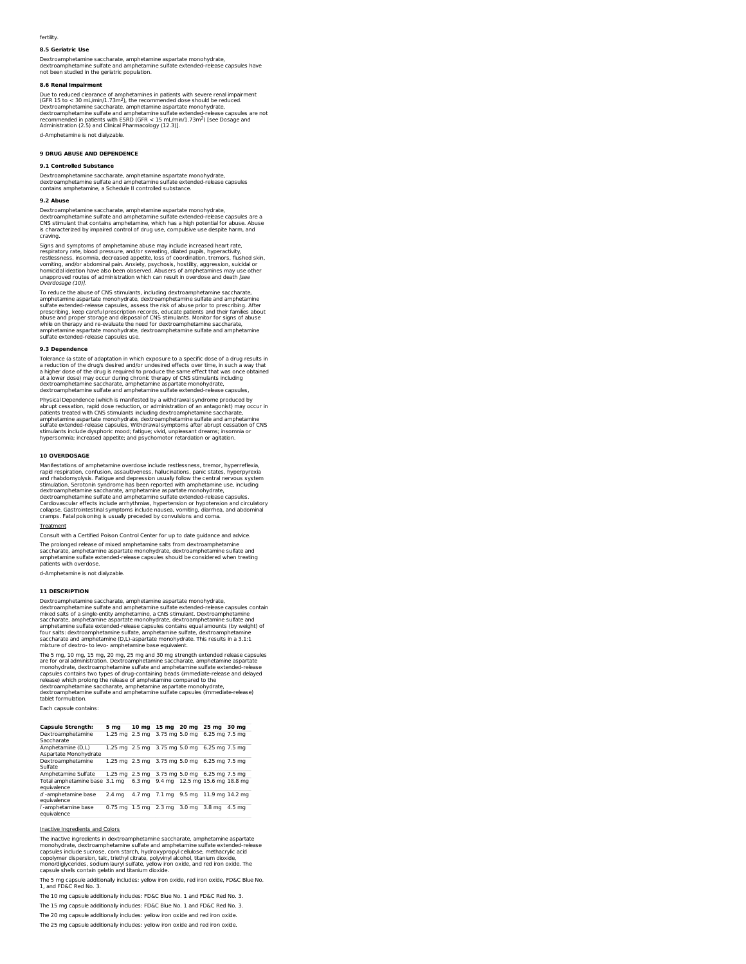#### fertility.

#### **8.5 Geriatric Use**

Dextroamphetamine saccharate, amphetamine aspartate monohydrate,<br>dextroamphetamine sulfate and amphetamine sulfate extended-release capsules have not been studied in the geriatric population.

#### **8.6 Renal Impairment**

Due to reduced clearance of amphetamines in patients with severe renal impairment<br>(GFR 15 to < 30 mL/min/1.73m<sup>2</sup>), the recommended dose should be reduced.<br>Dextroamphetamine saccharate, amphetamine aspartate monohydrate,<br>d d-Amphetamine is not dialyzable. 2) + 2

#### **9 DRUG ABUSE AND DEPENDENCE**

**9.1 Controlled Substance**

Dextroamphetamine saccharate, amphetamine aspartate monohydrate,<br>dextroamphetamine sulfate and amphetamine sulfate extended-release capsules<br>contains amphetamine, a Schedule II controlled substance.

#### **9.2 Abuse**

Dextroamphetamine saccharate, amphetamine aspartate monohydrate,<br>dextroamphetamine sulfate and amphetamine sulfate extended-release capsules are a<br>CNS stimulant that contains amphetamine, which has a high potential for abu craving.

Signs and symptoms of amphetamine abuse may include increased heart rate, respiratory rate, blood pressure, and/or sweating, diated pupls, hyperactivity, sepectivity resests from the s<br>restlessness, insomnia, decreased appetite, loss of coordination, tremors, flushed skin,<br>vomiting, and/or abdom

To reduce the abuse of CNS stimulants, including dextroamphetamine saccharate,<br>amphetamine asparatate monohydrate, dextroamphetamine sulfate and amphetamine<br>sulfate extended-release capsules, assess the risk of abuse prior

#### **9.3 Dependence**

Tolerance (a state of adaptation in which exposure to a specific dose of a drug results in<br>a reduction of the drug's desired and/or undesired effects over time, in such a way that<br>a higher dose of the drug is required to p

Physical Dependence (which is manifested by a withdrawal syndrome produced by<br>abrupt cessation, rapid dose reduction, or administration of an antagonist) may occur in<br>patients treated with CNS stimulants including dextroam amphetamine aspartate monohydrate, dextroamphetamine sulfate and amphetamine<br>sulfate extended-release capsules, Withdrawal symptoms after abrupt cessation of CNS<br>stimulants include dysphoric mood; fatigue; wivd, unpleasant

10 OVERDOSAGE<br>Manifestations of amphetamine overdose include restlessness, tremor, hyperreflexia,<br>Manifestations of amphetamine overdose include restlessness, have takes, hyperpyrexia<br>and rhabdomyolysis. Fatigue and depres

#### Treatment

Consult with a Certified Poison Control Center for up to date guidance and advice. The prolonged release of mixed amphetamine salts from dextroamphetamine saccharate, amphetamine aspartate monohydrate, dextroamphetamine sulfate and amphetamine sulfate extended-release capsules should be considered when treating patients with overdose. d-Amphetamine is not dialyzable.

11 DESCRIPTION<br>Dextroamphetamine saccharate, amphetamine aspartate monohydrate,<br>dextroamphetamine suifate and amphetamine suifate extended-release capsules contain<br>mixed salts of a single-entity amphetamine, a CNS stimular

The 5 mg, 10 mg, 15 mg, 20 mg, 25 mg and 30 mg strength extended release capsules are for oral administration. Dextroamphetamine saccharate, amphetamine aspartate<br>emonohydrate, dextroamphetamine sulfate and amphetamine sulfate extended-release<br>capsules contains two types of drug-containing beads (immedi tablet formulation.

Each capsule contains:

| <b>Capsule Strength:</b>      | 5 ma                     | 10 ma             | 15 ma             | 20 ma             | 25 ma                         | 30 ma  |
|-------------------------------|--------------------------|-------------------|-------------------|-------------------|-------------------------------|--------|
| Dextroamphetamine             | 1.25 mg 2.5 mg           |                   |                   | 3.75 ma 5.0 ma    | 6.25 mg 7.5 mg                |        |
| Saccharate                    |                          |                   |                   |                   |                               |        |
| Amphetamine (D.L)             | 1.25 ma 2.5 ma           |                   |                   | 3.75 mg 5.0 mg    | 6.25 mg 7.5 mg                |        |
| Aspartate Monohydrate         |                          |                   |                   |                   |                               |        |
| Dextroamphetamine             | 1.25 ma 2.5 ma           |                   | 3.75 mg 5.0 mg    |                   | 6.25 mg 7.5 mg                |        |
| Sulfate                       |                          |                   |                   |                   |                               |        |
| Amphetamine Sulfate           | $1.25 \text{ ma}$        | 2.5 <sub>ma</sub> |                   |                   | 3.75 mg 5.0 mg 6.25 mg 7.5 mg |        |
| Total amphetamine base 3.1 mg |                          | 6.3 <sub>ma</sub> | 9.4 <sub>mg</sub> |                   | 12.5 mg 15.6 mg 18.8 mg       |        |
| equivalence                   |                          |                   |                   |                   |                               |        |
| d -amphetamine base           | $2.4 \text{ ma}$         | 4.7 mg            | 7.1 <sub>ma</sub> | 9.5 ma            | 11.9 mg 14.2 mg               |        |
| equivalence                   |                          |                   |                   |                   |                               |        |
| /-amphetamine base            | $0.75 \text{ ma}$ 1.5 ma |                   | 2.3 <sub>ma</sub> | 3.0 <sub>ma</sub> | 3.8 <sub>ma</sub>             | 4.5 mg |
| equivalence                   |                          |                   |                   |                   |                               |        |

### Inactive Ingredients and Colors

The inactive ingredients in dextroamphetamine saccharate, amphetamine aspartate<br>monohydrate, dextroamphetamine sulfate and amphetamine sulfate extended-release<br>capsules include sucrose, corn starch, hydroxypropyl cellulose

The 5 mg capsule additionally includes: yellow iron oxide, red iron oxide, FD&C Blue No. 1, capsaic adair.<br>1&C Red No. 3.

The 10 mg capsule additionally includes: FD&C Blue No. 1 and FD&C Red No. 3.

The 15 mg capsule additionally includes: FD&C Blue No. 1 and FD&C Red No. 3.

The 20 mg capsule additionally includes: yellow iron oxide and red iron oxide. The 25 mg capsule additionally includes: yellow iron oxide and red iron oxide.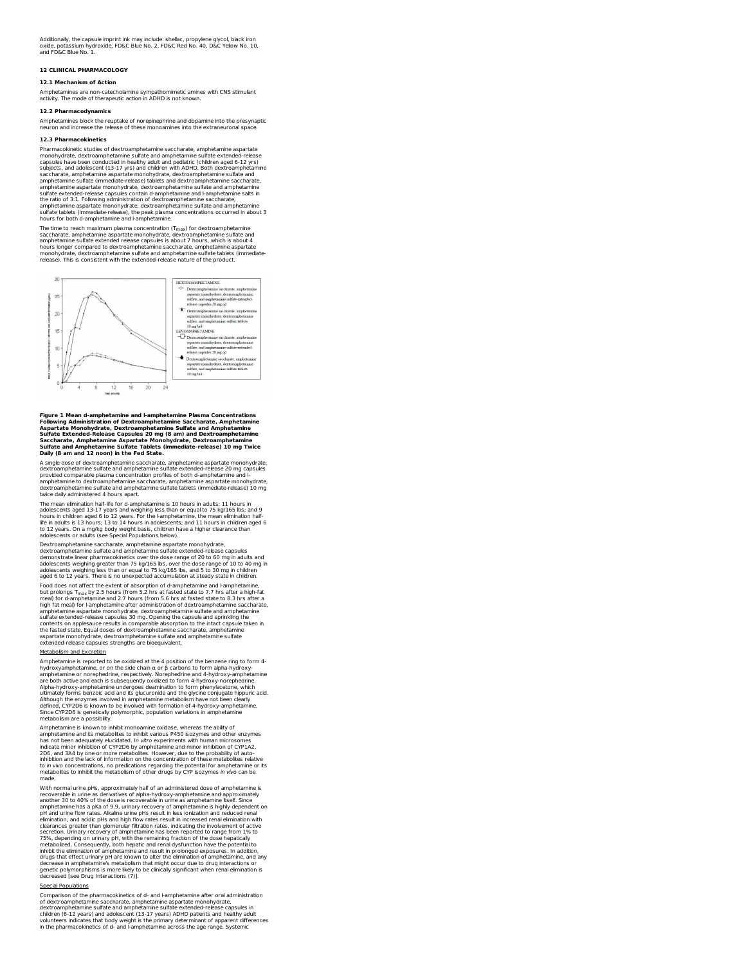Additionally, the capsule imprint ink may include: shellac, propylene glycol, black iron<br>oxide, potassium hydroxide, FD&C Blue No. 2, FD&C Red No. 40, D&C Yellow No. 10,<br>and FD&C Blue No. 1.

#### **12 CLINICAL PHARMACOLOGY**

#### **12.1 Mechanism of Action**

Amphetamines are non-catecholamine sympathomimetic amines with CNS stimulant<br>activity. The mode of therapeutic action in ADHD is not known.

#### **12.2 Pharmacodynamics**

Amphetamines block the reuptake of norepinephrine and dopamine into the presynaptic<br>neuron and increase the release of these monoamines into the extraneuronal space.

#### **12.3 Pharmacokinetics**

Pharmacokinetic studies of dextroamphetamine saccharate, amphetamine aspartate<br>monohydrate, dextroamphetamine sulfate and amphetamine sulfate extended-release<br>subjects, and adolescent (13-17 yrs) and children with ADHD. Bo

The time to reach maximum plasma concentration (T<sub>max</sub>) for dextroamphetamine suffate and<br>saccharate, amphetamine aspartate monohydrate, dextroamphetamine suffate and<br>amphetamine suffate extended release capsules is about max<sup>)</sup> "



Figure 1 Mean d-amphetamine and l-amphetamine Pasma Concentrations<br>Following Administration of Dextroamphetamine Saccharate, Amphetamine<br>Aspartate Monohydrate, Dextroamphetamine Sulfate and Amphetamine<br>Suiches Extended-Rel

A single dose of dextroamphetamine saccharate, amphetamine aspartate monohydrate,<br>dextroamphetamine sulfate and amphetamine sulfate extended-release 20 mg capsules<br>provided comparable plasma concentration profiles of both

The mean elimination half-life for d-amphetamine is 10 hours in adults; 11 hours in<br>daolescents aged 13-17 years and weighing less than or equal to 75 kg/165 lbs; and 9<br>hours in children aged 6 to 12 years. For the l-amphe

## Dextroamphetamine saccharate, amphetamine aspartate monohydrate,<br>dextroamphetamine sulfate and amphetamine sulfate extended-release capsules demonstrate linear pharmacokinetics over the dose range of 20 to 60 mg in adults and<br>adolescents weighing greater than 75 kg/165 lbs, over the dose range of 10 to 40 mg in<br>adolescents weighing less than or equal to 75 kg/1

Food does not affect the extent of absorption of d-amphetamine and l-amphetamine, but prolongs T<sub>max</sub> by 2.5 hours (from 5.2 hrs at fasted state to 7.7 hrs after a high-fat<br>meal) for d-amphetamine and 2.7 hours (from 5.6 hrs at fasted state to 8.3 hrs after a high fat meal) for l-amphetamine after administration of dextroamphetamine saccharate,<br>amphetamine aspartate monohydrate, dextroamphetamine sulfate and amphetamine sulfate extended-release capsules 30 mg. Opening the capsule and sprinkling the<br>contents on applesauce results in comparable absorption to the intact capsule taken in<br>the fasted state. Equal doses of dextroamphetamine sacc

#### Metabolism and Excretion

Amphetamine is reported to be oxidized at the 4 position of the benzene ring to form applicanine, or on the side chain  $\alpha$  or  $\beta$  carbons to form alpha-hydroxy-<br>amphetamine or norephedrine, respectively. Norephedrine and Since CYP2D6 is genetically polymorphic, population variations in amphetamine metabolism are a possibility.

Amphetamine is known to inhibit monoamine oxidase, whereas the ability of<br>amphetamine and its metabolites to inhibit various P450 isozymes and other enzymes<br>has not been adequately elucidated. In wiro experiments with huma

made.<br>
made. Then the pHs, approximately half of an administered dose of amphetamine is<br>
Wth normal urine as derivatives of alpha-hydroxy-amphetamine and approximately<br>
another 30 to 40% of the dose is recoverable in urine

#### Special Populations

Comparison of the pharmacokinetics of d- and l-amphetamine after oral administration<br>of dextroamphetamine saccharate, amphetamine aspartate monohydrate,<br>dextroamphetamine suffate and amphetamine suffate extended-release ca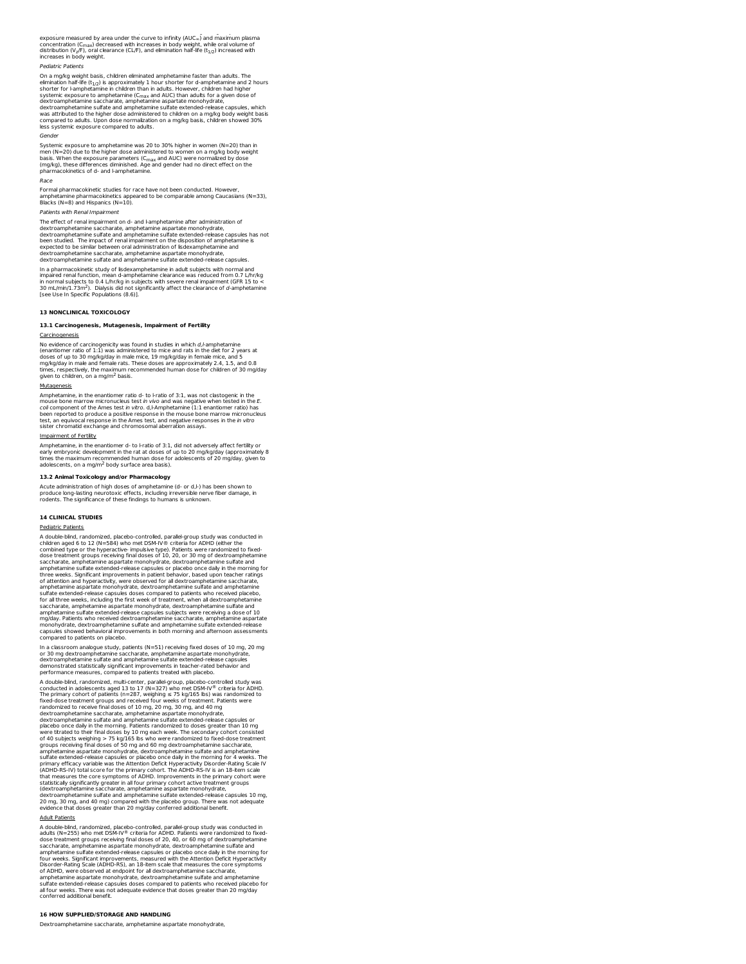exposure measured by area under the curve to infinity (AUC<sub>e.)</sub> and maximum plasma<br>concentration (C<sub>max</sub>) decreased with increases in body weight, while oral volume of<br>distribution (V<sub>x</sub>F), oral clearance (CL/F), and elimi isured by area under the curve to infinity (AUC<sub>∞</sub>) and ma<br>(C<sub>max</sub>) decreased with increases in body weight, while o<br><sub>z</sub>/F), oral clearance (CL/F), and elimination half-life (t<sub>1/2</sub>) in

Pediatric Patients

On a mg/kg weight basis, children eliminated amphetamine faster than adults. The elimination half-life (t10) is approximately 1 hour shorter for d-amphetamine and 2 hours elimination half-life (t<sub>1zp</sub>) is approximately 1 hour shorter for d-amphetamine and 2 hours<br>shorter for l-amphetamine in children than in adults. However, children had higher<br>systemic exposure to amphetamine (C<sub>max</sub> and A was attributed to the higher dose administered to children on a mg/kg body weight basis compared to adults. Upon dose normalization on a mg/kg basis, children showed 30% less systemic exposure compared to adults. 1/2) IS <sub>max</sub> ar

#### Gender

Systemic exposure to amphetamine was 20 to 30% higher in women (N=20) than in<br>men (N=20) due to the higher dose administered to women on a mg/kg body weight<br>basis. When the exposure parameters (C<sub>max</sub> and AUC) were normali <sub>max</sub> ar

#### Race

Formal pharmacokinetic studies for race have not been conducted. However,<br>amphetamine pharmacokinetics appeared to be comparable among Caucasians (N=33),<br>Blacks (N=8) and Hispanics (N=10).

#### Patients with Renal Impairment

The effect of renal impairment on d- and l-amphetamine after administration of<br>dextroamphetamine saccharate, amphetamine aspartate monohydrate,<br>dextroamphetamine suffate and amphetamine suffate extended-release capsules ha

In a pharmacokinetic study of lisdexamphetamine in adult subjects with normal and<br>impaired renal function, mean d-amphetamine clearance was reduced from 0.7 L/hr/kg<br>in normal subjects to 0.4 L/hr/kg in subjects with severe

#### **13 NONCLINICAL TOXICOLOGY**

**13.1 Carcinogenesis, Mutagenesis, Impairment of Fertility**

Carcinogenesis<br>No evidence of carcinogenicity was found in studies in which *d*, lamphetamine<br>(enantiomer ratio of 1:1) was administered to mice and rats in the diet for 2 years at<br>doses of up to 30 mg/kg/day in male mice,

Mutagenesis<br>Amphetamine, in the enantiomer ratio d- to I-ratio of 3:1, was not clastogenic in the<br>Amphetamine, in the enancious test *in vivo* and was negative when tested in the *E*.<br>Col<sup>f</sup> component of the Ames test *in* 

#### Impairment of Fertility

Amphetamine, in the enantiomer d- to I-ratio of 3:1, did not adversely affect fertility or<br>early embryonic development in the rat at doses of up to 20 mg/kg/day (approximately 8<br>times the maximum recommended human dose for

#### **13.2 Animal Toxicology and/or Pharmacology**

Acute administration of high doses of amphetamine (d- or d,l-) has been shown to<br>produce long-lasting neurotoxic effects, including irreversible nerve fiber damage, in<br>rodents. The significance of these findings to humans

#### **14 CLINICAL STUDIES**

Pediatric Patients<br>
Rediatric Patients<br>
A double-bilind, randomized, placebo-controlled, parallel-group study was conducted in<br>
A chuble-bilind, randomized, placebo-controlled, parallel-group study was conducted in<br>
childr

In a classroom analogue study, patients (N=51) receiving fixed doses of 10 mg, 20 mg or 30 mg dextroamphetamine saccharate, amphetamine aspartate monohydrate,<br>dextroamphetamine sulfate and amphetamine sulfate extended-release capsules demonstrated statistically significant improvements in teacher-rated behavior and performance measures, compared to patients treated with placebo.

<sup>®</sup> crite

A double-blind, randomized, multi-center, parallel-group, placebo-controled study was<br>Conducted in adolescents aged 13 to 17 (N=327) who met DSM-IV® criteria for ADHD.<br>The primary conbot of paiteits (n=287, weighing ≤ 75 k 20 mg, 30 mg, and 40 mg) compared with the placebo group. There was not adequate evidence that doses greater than 20 mg/day conferred additional benefit.

#### Adult Patients

A double-blind, randomized, placebo-controlled, parallel-group study was conducted in<br>adults (N=255) who met DSM-IV® criteria for ADHD. Patients were randomized to fixeddose treatment groups receiving final doses of 20, 40, or 60 mg of dextroamphetamine<br>saccharate, amphetamine aspartate monohydrate, dextroamphetamine sulfate and<br>amphetamine sulfate extended-release capsules or placebo onc

#### **16 HOW SUPPLIED/STORAGE AND HANDLING**

Dextroamphetamine saccharate, amphetamine aspartate monohydrate,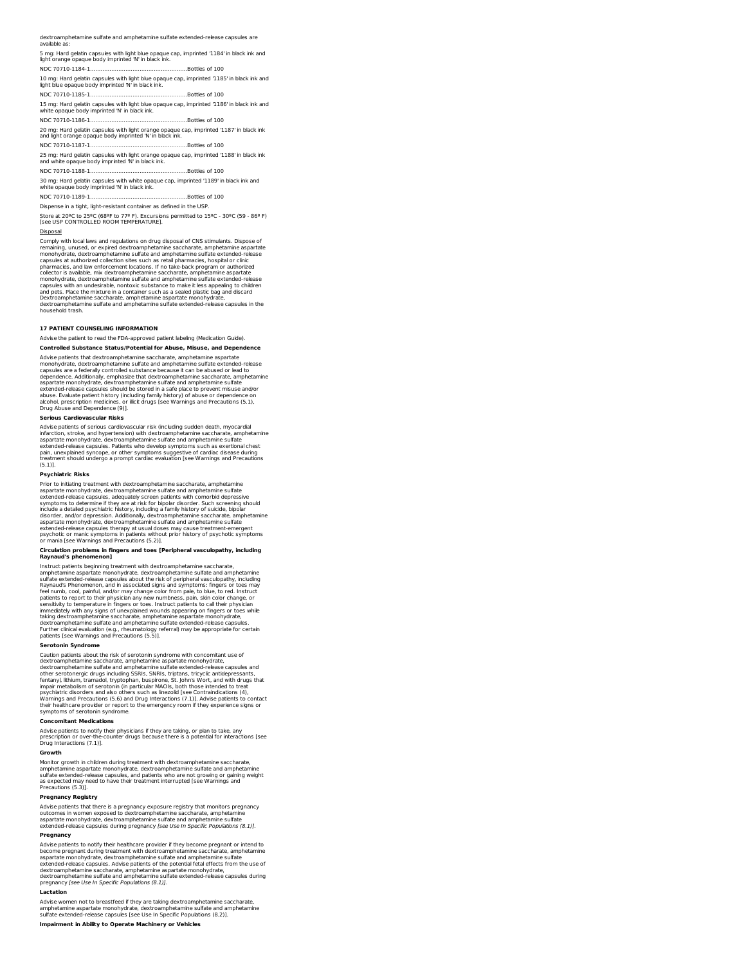dextroamphetamine sulfate and amphetamine sulfate extended-release capsules are available as

5 mg: Hard gelatin capsules with light blue opaque cap, imprinted '1184' in black ink and light orange opaque body imprinted 'N' in black ink.

NDC 70710-1184-1……………………………………………….Bottles of 100 10 mg: Hard gelatin capsules with light blue opaque cap, imprinted '1185' in black ink and light blue opaque body imprinted 'N' in black ink.

NDC 70710-1185-1……………………………………………….Bottles of 100

15 mg: Hard gelatin capsules with light blue opaque cap, imprinted '1186' in black ink and white opaque body imprinted 'N' in black ink.

NDC 70710-1186-1……………………………………………….Bottles of 100 20 mg: Hard gelatin capsules with light orange opaque cap, imprinted '1187' in black ink<br>and light orange opaque body imprinted 'N' in black ink.

NDC 70710-1187-1……………………………………………….Bottles of 100 25 mg: Hard gelatin capsules with light orange opaque cap, imprinted '1188' in black ink<br>and white opaque body imprinted 'N' in black ink.

NDC 70710-1188-1……………………………………………….Bottles of 100

30 mg: Hard gelatin capsules with white opaque cap, imprinted '1189' in black ink and<br>white opaque body imprinted 'N' in black ink. NDC 70710-1189-1……………………………………………….Bottles of 100

Dispense in a tight, light-resistant container as defined in the USP.

Store at 20ºC to 25ºC (68ºF to 77º F). Excursions permitted to 15ºC - 30ºC (59 -86º F) [see USP CONTROLLED ROOM TEMPERATURE].

Disposal<br>
Oisposal<br>
Comply with local laws and regulations on drug disposal of CNS stimulants. Dispose of<br>
Comply with local laws and regulations on drug disposal of CNS stimulants aspartate<br>
monohydrate, detxtroamphetamin

#### **17 PATIENT COUNSELING INFORMATION**

Advise the patient to read the FDA-approved patient labeling (Medication Guide).

**Controlled Substance Status/Potential for Abuse, Misuse, and Dependence**

Advise patients that dextroamphetamine saccharate, amphetamine aspartate<br>monohydrate, dextroamphetamine sulfate and amphetamine sulfate extended-release<br>capsules are a federally controlled substance because it can be abuse dependence. Additionally, emphasize that dextroamphetamine saccharate, amphetamine<br>aspartate monohydrate, dextroamphetamine sulfate and amphetamine sulfate<br>extended-release capsules should be stored in a safe place to prev

#### **Serious Cardiovascular Risks**

Advise patients of serious cardiovascular risk (including sudden death, myocardial<br>infarction, stroke, and hypertension) with dextroamphetamine sacharate, amphetamine<br>aspartate monohydrate, dextroamphetamine suffate and am

#### **Psychiatric Risks**

Prior to initiating treatment with dextroamphetamine saccharate, amphetamine<br>aspartate monohydrate, dextroamphetamine sulfate and amphetamine sulfate<br>extended-release capsules, adequately screen patients with comorbid depr include a detailed psychiatric history, including a family history of suicide, bipolar<br>disorder, and/or depression. Additionally, dextroamphetamine saccharate, amphetamine<br>aspartate monohydrate, dextroamphetamine suifate a

### **Circulation problems in fingers and toes [Peripheral vasculopathy, including Raynaud's phenomenon]**

Instruct patients beginning treatment with dextroamphetamine saccharate,<br>instruct patients beginning treatment with dextroamphetamine sulfate and amphetamine<br>sulfate extended-release capsules about the risk of peripheral v

#### **Serotonin Syndrome**

Caution patients about the risk of serotonin syndrome with concomitant use of<br>dextroamphetamine saccharate, amphetamine aspartate monohydrate,<br>dextroamphetamine sulfate and amphetamine sulfate extended-release capsules and other serotonergic drugs including SSRIs, SNRIs, triptans, tricyclic antidepressants,<br>fentanyl, lithium, tramadol, tryptophan, buspirone, St. John's Wort, and with drugs that<br>impair metabolism of serotonin (in particular M psychiatric disorders and also others such as linezolid [see Contraindications (4),<br>Warnings and Precautions (5.6) and Drug Interactions (7.1)]. Advise patients to contact<br>their healthcare provider or report to the emergen symptoms of serotonin syndrome.

#### **Concomitant Medications**

Advise patients to notify their physicians if they are taking, or plan to take, any<br>prescription or over-the-counter drugs because there is a potential for interactions [see<br>Drug Interactions (7.1)].

#### **Growth**

Monitor growth in children during treatment with dextroamphetamine saccharate,<br>amphetamine aspartate monohydrate, dextroamphetamine suifate and amphetamine<br>suifate extended-release capsules, and patients who are not growin

#### **Pregnancy Registry**

Advise patients that there is a pregnancy exposure registry that monitors pregnancy<br>outcomes in women exposed to dextroamphetamine saccharate, amphetamine<br>aspartate monohydrate, dextroamphetamine sulfate and amphetamine su

### **Pregnancy**

Advise patients to motify their healthcare provider if they become pregnant or intend to<br>become pregnant during treatment with dextroamphetamine sacharate, amphetamine<br>aspartate monohydrate, dextroamphetamine sulfate and a

#### **Lactation**

Advise women not to breastfeed if they are taking dextroamphetamine saccharate,<br>amphetamine aspartate monohydrate, dextroamphetamine sulfate and amphetamine<br>sulfate extended-release capsules [see Use In Specific Population

**Impairment in Ability to Operate Machinery or Vehicles**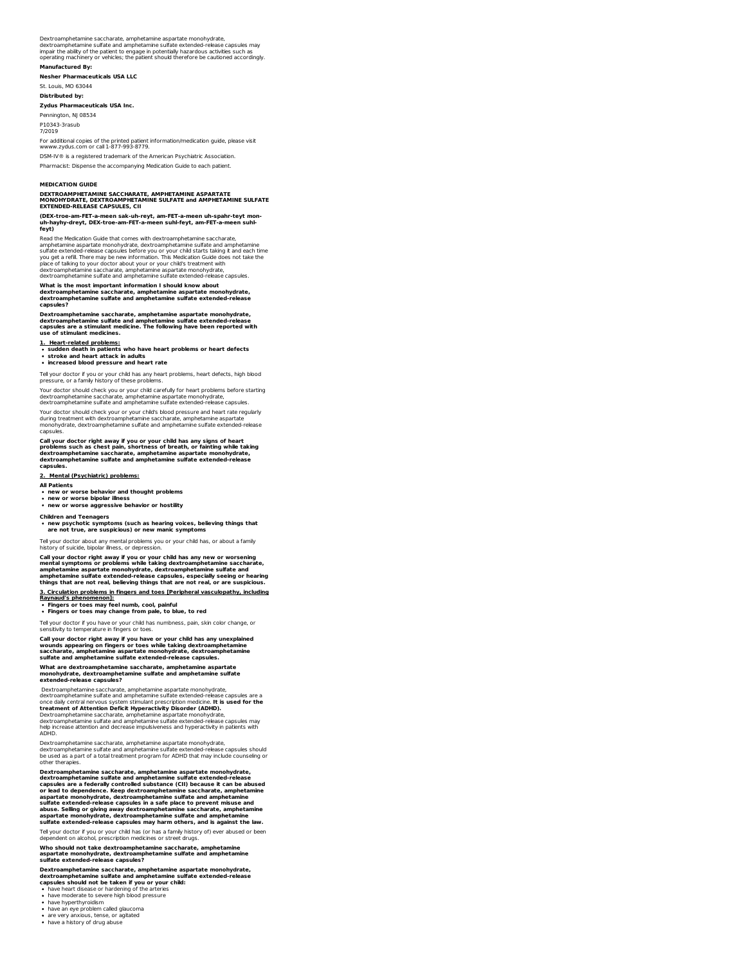## Dextroamphetamine saccharate, amphetamine aspartate monohydrate,<br>dextroamphetamine suffate and amphetamine suffate extended-release capsules may<br>impair the ability of the patient to engage in potentially hazardous activiti

**Manufactured By: Nesher Pharmaceuticals USA LLC** St. Louis, MO 63044

**Distributed by:**

**Zydus Pharmaceuticals USA Inc.** Pennington, NJ 08534

P10343-3rasub 7/2019

### For additional copies of the printed patient information/medication guide, please visit wwww.zydus.com or call 1-877-993-8779.

DSM-IV® is a registered trademark of the American Psychiatric Association. Pharmacist: Dispense the accompanying Medication Guide to each patient.

#### **MEDICATION GUIDE**

DEXTROAMPHETAMINE SACCHARATE, AMPHETAMINE ASPARTATE<br>MONOHYDRATE, DEXTROAMPHETAMINE SULFATE and AMPHETAMINE SULFATE<br>EXTENDED-RELEASE CAPSULES, CII

## **(DEX-troe-am-FET-a-meen sak-uh-reyt, am-FET-a-meen uh-spahr-teyt mon- uh-hayhy-dreyt, DEX-troe-am-FET-a-meen suhl-feyt, am-FET-a-meen suhl- feyt)**

Read the Medication Guide that comes with dextroamphetamine saccharate,<br>amphetamine aspartate monohydrate, dextroamphetamine suffate and amphetamine<br>suffate extended-release capsules before you or your child starts taking

What is the most important information I should know about<br>dextroamphetamine saccharate, amphetamine aspartate monohydrate,<br>dextroamphetamine sulfate and amphetamine sulfate extended-release **capsules?**

## Dextroamphetamine saccharate, amphetamine aspartate monohydrate,<br>dextroamphetamine sulfate and amphetamine sulfate extended-release<br>capsules are a stimulant medicine. The following have been reported with<br>use of stimulant

### **1. Heart-related problems:**

sudden death in patients who have heart problems or heart defects<br>stroke and heart attack in adults<br>increased blood pressure and heart rate

Tell your doctor if you or your child has any heart problems, heart defects, high blood pressure, or a family history of these problems. Your doctor should check you or your child carefully for heart problems before starting

dextroamphetamine saccharate, amphetamine aspartate monohydrate,<br>dextroamphetamine sulfate and amphetamine sulfate extended-release capsules.

Your doctor should check your or your child's blood pressure and heart rate regularly<br>during treatment with dextroamphetamine saccharate, amphetamine aspartate<br>monohydrate, dextroamphetamine sulfate and amphetamine sulfate capsules.

Call your doctor right away if you or your child has any signs of heart<br>problems such as chest pain, shortness of breath, or fainting while taking<br>dextroamphetamine saccharate, amphetamine suffate extended-release<br>dextroam **capsules.**

#### **2. Mental (Psychiatric) problems:**

## **All Patients new or worse behavior and thought problems new or worse bipolar illness**

**new or worse aggressive behavior or hostility**

Children and Teenagers<br>• new psychotic symptoms (such as hearing voices, believing things that<br>• are not true, are suspicious) or new manic symptoms

Tell your doctor about any mental problems you or your child has, or about a family<br>history of suicide, bipolar illness, or depression.

# Call your doctor right away if you or your child has any new or worsening<br>mental symptoms or problems while taking dextroamphetamine saccharate,<br>amphetamine aspartate monohydrate, dextroamphetamine sulfate and<br>amphetamine

**3. Circulation problems in fingers and toes [Peripheral vasculopathy, including**

Raynaud's phenomenon]:<br>• Fingers or toes may feel numb, cool, painful<br>• Fingers or toes may change from pale, to blue, to red

Tell your doctor if you have or your child has numbness, pain, skin color change, or<br>sensitivity to temperature in fingers or toes.

Call your doctor right away if you have or your child has any unexplained<br>wounds appearing on fingers or toes while taking dextroamphetamine<br>saccharate, amphetamine suffate extended-release capsules.<br>sulfate and amphetamin

What are dextroamphetamine saccharate, amphetamine aspartate<br>monohydrate, dextroamphetamine sulfate and amphetamine sulfate<br>extended-release capsules?

## Dextroamphetamine saccharate, amphetamine aspartate monohydrate,<br>dextroamphetamine sulfate and amphetamine sulfate extended-release capsules are a<br>once daily central nervous system stimulant prescription medicine. It **is u** Dextroamphetamine saccharate, amphetamine aspartate monohydrate,<br>dextroamphetamine sulfate and amphetamine sulfate extended-release capsules may<br>help increase attention and decrease impulsiveness and hyperactivity in patie

ADHD. Dextroamphetamine saccharate, amphetamine aspartate monohydrate,<br>dextroamphetamine sulfate and amphetamine sulfate extended-release capsules should<br>be used as a part of a total treatment program for ADHD that may include c

other therapies.

**Dextroamphetamine saccharate, amphetamine aspartate monohydrate,** dextroamphetamine sulfate and amphetamine sulfate extended-release<br>capsules are a federally controlled substance (CII) because it can be abused<br>or lead to dependence. Keep dextroamphetamine saccharate, amphetamine<br>aspartat

Tell your doctor if you or your child has (or has a family history of) ever abused or been<br>dependent on alcohol, prescription medicines or street drugs.

## Who should not take dextroamphetamine saccharate, amphetamine<br>aspartate monohydrate, dextroamphetamine sulfate and amphetamine<br>sulfate extended-release capsules?

**Dextroamphetamine saccharate, amphetamine aspartate monohydrate,<br>dextroamphetamine sulfate and amphetamine sulfate extended-release<br>capsules should not be taken if you or your child:<br>• have moderate to severe high blood p** 

- 
- 
- 
- have hyperthyroidism have an eye problem called glaucoma are very anxious, tense, or agitated have a history of drug abuse
-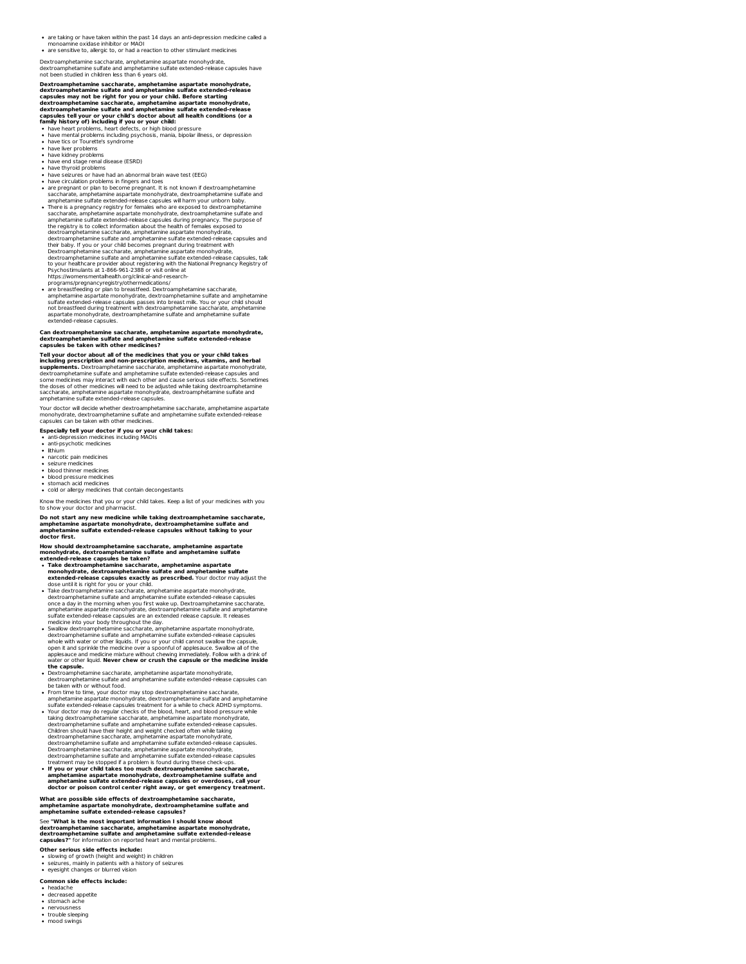- are taking or have taken within the past 14 days an anti-depression medicine called a<br>monoamine oxidase inhibitor or MAOI e oxidase inhibitor or MAOI
- are sensitive to, allergic to, or had a reaction to other stimulant medicines

Dextroamphetamine saccharate, amphetamine aspartate monohydrate,<br>dextroamphetamine sulfate and amphetamine sulfate extended-release capsules have<br>not been studied in children less than 6 years old.

Dextroamphetamine sacharate, amphetamine aspartate monohydrate,<br>dextroamphetamine suffate and amphetamine suffate extended-release<br>capsules may not be right for you or your child. Before starting<br>dextroamphetamine sacharat

- 
- have tics or Tourette's syndrome
- 
- have liver problems<br>have kidney problems<br>have end stage renal disease (ESRD)
- 

### have thyroid problems<br>have seizures or have had an abnormal brain wave test (EEG)

- 
- 
- have seizures or have had an abnormal brain wave test (EEG)<br>have circulation problems in fingers and toes<br>are pregnant or plan to become pregnant. It is not known if dextroamphetamine<br>sacharate, amphetamine aspartate monoh dextroamphetamine saccharate, amphetamine aspartate monohydrate,<br>dextroamphetamine sulfate and amphetamine sulfate extended-release capsules and
- 
- their baby. If you or your child becomes pregnant during treatment with<br>Dextroamphetamine saccharate, amphetamine aspartate monohydrate,<br>Dextroamphetamine surfate and amphetamine surfate extended-release capsules, talk<br>to

## Can dextroamphetamine saccharate, amphetamine aspartate monohydrate,<br>dextroamphetamine sulfate and amphetamine sulfate extended-release<br>capsules be taken with other medicines?

Tell your doctor about all of the medicines that you or your child takes<br>including prescription and non-prescription medicines, vitamins, and herbal<br>supplements. Dextroampletamine such are detailed to the distinguished exp

Your doctor will decide whether dextroamphetamine saccharate, amphetamine aspartate<br>monohydrate, dextroamphetamine sulfate and amphetamine sulfate extended-release<br>capsules can be taken with other medicines.

## **Especially tell your doctor if you or your child takes:**<br>• anti-depression medicines including MAOIs<br>• anti-psychotic medicines

- 
- 
- lithium narcotic pain medicines
- 
- seizure medicines<br>blood thinner medicines
- blood pressure medicines<br>stomach acid medicines
- 

### stomach acid medicines<br>cold or allergy medicines that contain decongestants

Know the medicines that you or your child takes. Keep a list of your medicines with you to show your doctor and pharmacist.

## Do not start any new medicine while taking dextroamphetamine saccharate,<br>amphetamine aspartate monohydrate, dextroamphetamine sulfate and<br>amphetamine sulfate extended-release capsules without talking to your<br>doctor first.

#### **How should dextroamphetamine saccharate, amphetamine aspartate monohydrate, dextroamphetamine sulfate and amphetamine sulfate extended-release capsules be taken?**

- 
- 
- Take dextroamphetamine saccharate, amphetamine aspartate<br>
monohydrate, dextroamphetamine sulfate and amphetamine sulfate<br>
extended-release capsules exactly as prescribed. Your doctor may adjust the<br>
extended-release capsul
- Dextroamphetamine saccharate, amphetamine aspartate monohydrate,<br>dextroamphetamine sulfate and amphetamine sulfate extended-release capsules can
- 
- be taken with or without food.<br>From time to time, your doctor may stop dextroamphetamine saccharate,<br>amphetamine aspartate monohydrate, dextroamphetamine sulfate and amphetamine<br>sulfate extended-release capsules treatment dextroamphetamine sulfate and amphetamine sulfate extended-release capsules.<br>Children should have their height and weight checked often while taking
- dextroamphetamine saccharate, amphetamine aspartate monohydrate,<br>dextroamphetamine suifate and amphetamine suifate extended-release capsules.<br>Dextroamphetamine suifate and amphetamine aspartate monohydrate,<br>dextroamphetami

## What are possible side effects of dextroamphetamine saccharate,<br>amphetamine aspartate monohydrate, dextroamphetamine sulfate and<br>amphetamine sulfate extended-release capsules?

See "What is the most important information I should know about<br>dextroamphetamine saccharate, amphetamine aspartate monohydrate,<br>dextroamphetamine sulfate and amphetamine sulfate extended-release **capsules?"** for information on reported heart and mental problems.

#### **Other serious side effects include:**

- 
- slowing of growth (height and weight) in children<br>seizures, mainly in patients with a history of seizures<br>eyesight changes or blurred vision
- 
- **Common side effects include:**
- headache<br>decreased appetite
- stomach ache
- nervousness
- trouble sleeping
- mood swings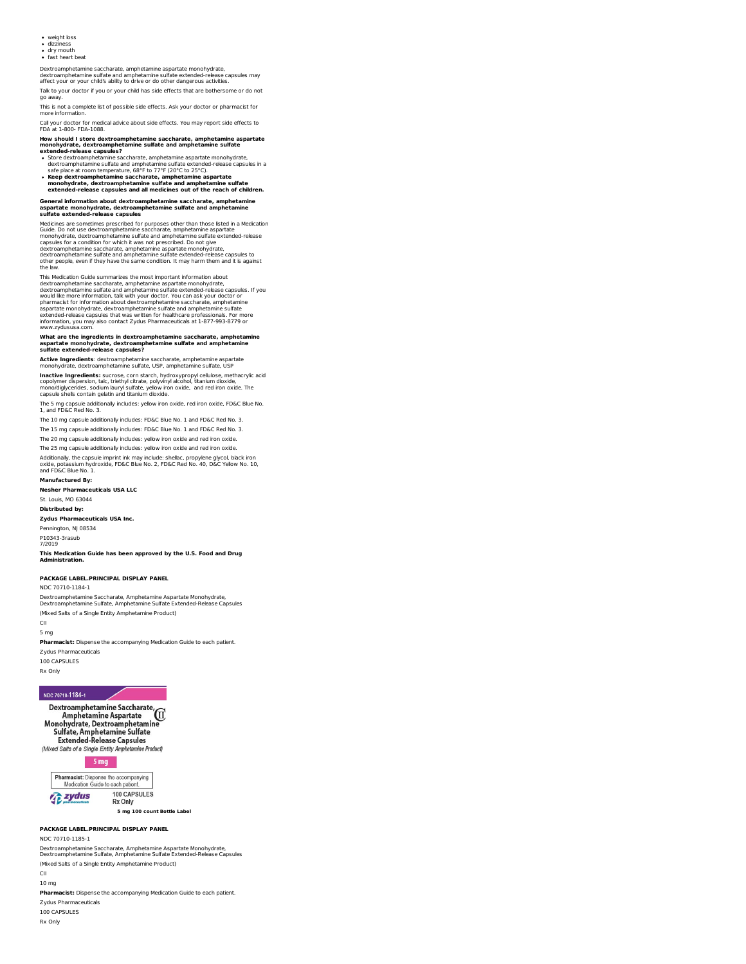- weight loss
- dizziness
- dry mouth fast heart beat

Dextroamphetamine saccharate, amphetamine aspartate monohydrate, dextroamphetamine sulfate and amphetamine sulfate extended-release capsules may<br>affect your or your child's ability to drive or do other dangerous activities.

Talk to your doctor if you or your child has side effects that are bothersome or do not go away.

This is not a complete list of possible side effects. Ask your doctor or pharmacist for more information.

Call your doctor for medical advice about side effects. You may report side effects to FDA at 1-800- FDA-1088.

- 
- How should I store dextroamphetamine sacharate, amphetamine spracha<br>monohydrate, dextroamphetamine suffate and amphetamine suffate<br>extended-release capsules?<br>extended-release capsules?<br>dextroamphetamine sacharate, amphetam

## General information about dextroamphetamine saccharate, amphetamine<br>aspartate monohydrate, dextroamphetamine sulfate and amphetamine<br>sulfate extended-release capsules

Medicines are sometimes prescribed for purposes other than those listed in a Medication<br>Guide, Do not use dextroamphetamine saccharate, amphetamine aspartate mphetamine saccharate, amphetamine aspartate monohydrate, dextroamphetamine sulfate and amphetamine sulfate extended-release capsules for a condition for which it was not prescribed. Do not give dextroamphetamine saccharate, amphetamine aspartate monohydrate,<br>dextroamphetamine sulfate and amphetamine sulfate extended-release capsules to<br>other people, even if they have the same condition. It may harm them and it is the law.

This Medication Guide summarizes the most important information about dextroamphetamine saccharate, amphetamine aspartate monohydrate,<br>dextroamphetamine saccharate, amphetamine sulfate extended-release capsules. If you<br>would like more information, talk with your doctor. You can ask your doct

## What are the ingredients in dextroamphetamine saccharate, amphetamine<br>aspartate monohydrate, dextroamphetamine sulfate and amphetamine<br>sulfate extended-release capsules?

**Active Ingredients**: dextroamphetamine saccharate, amphetamine aspartate<br>monohydrate, dextroamphetamine sulfate, USP, amphetamine sulfate, USP **Inactive Ingredients:** sucrose, corn starch, hydroxypropyl cellulose, methacrylic acid<br>copolymer dispersion, tak, triethyl citrate, polyvinyl akohol, itianium dioxide,<br>mono/diglycerides, sodium lauryl sulfate, yellow iron

The 5 mg capsule additionally includes: yellow iron oxide, red iron oxide, FD&C Blue No.<br>1, and FD&C Red No. 3.

The 10 mg capsule additionally includes: FD&C Blue No. 1 and FD&C Red No. 3. The 15 mg capsule additionally includes: FD&C Blue No. 1 and FD&C Red No. 3.

The 20 mg capsule additionally includes: yellow iron oxide and red iron oxide.

The 25 mg capsule additionally includes: yellow iron oxide and red iron oxide.

Additionally, the capsule imprint ink may include: shellac, propylene glycol, black iron oxide, potassium hydroxide, FD&C Blue No. 2, FD&C Red No. 40, D&C Yellow No. 10, and FD&C Blue No. 1.

#### **Manufactured By:**

**Nesher Pharmaceuticals USA LLC**

St. Louis, MO 63044

**Distributed by:**

**Zydus Pharmaceuticals USA Inc.**

Pennington, NJ 08534 P10343-3rasub

7/2019

**This Medication Guide has been approved by the U.S. Food and Drug Administration.**

### **PACKAGE LABEL.PRINCIPAL DISPLAY PANEL**

NDC 70710-1184-1

Dextroamphetamine Saccharate, Amphetamine Aspartate Monohydrate,<br>Dextroamphetamine Sulfate, Amphetamine Sulfate Extended-Release Capsules (Mixed Salts of a Single Entity Amphetamine Product) CII

5 mg

**Pharmacist:** Dispense the accompanying Medication Guide to each patient. Zydus Pharmaceuticals 100 CAPSULES

Rx Only

#### NDC 70710-1184-1

De 70710-1184-1<br>Dextroamphetamine Saccharate,<br>Amphetamine Aspartate Amphetamine Aspartate Sulfate, Amphetamine Sulfate<br>Extended-Release Capsules (Mixed Salts of a Single Entity Amphetamine Product)



Pharmacist: Dispense the accompanying Medication Guide to each patient **The zydus** 100 CAPSULES Rx Only

**5 mg 100 count Bottle Label**

#### **PACKAGE LABEL.PRINCIPAL DISPLAY PANEL**

NDC 70710-1185-1

Dextroamphetamine Saccharate, Amphetamine Aspartate Monohydrate,<br>Dextroamphetamine Sulfate, Amphetamine Sulfate Extended-Release Capsules (Mixed Salts of a Single Entity Amphetamine Product)

 $\epsilon$ 

### 10 mg

**Pharmacist:** Dispense the accompanying Medication Guide to each patient. Zydus Pharmaceuticals 100 CAPSULES

Rx Only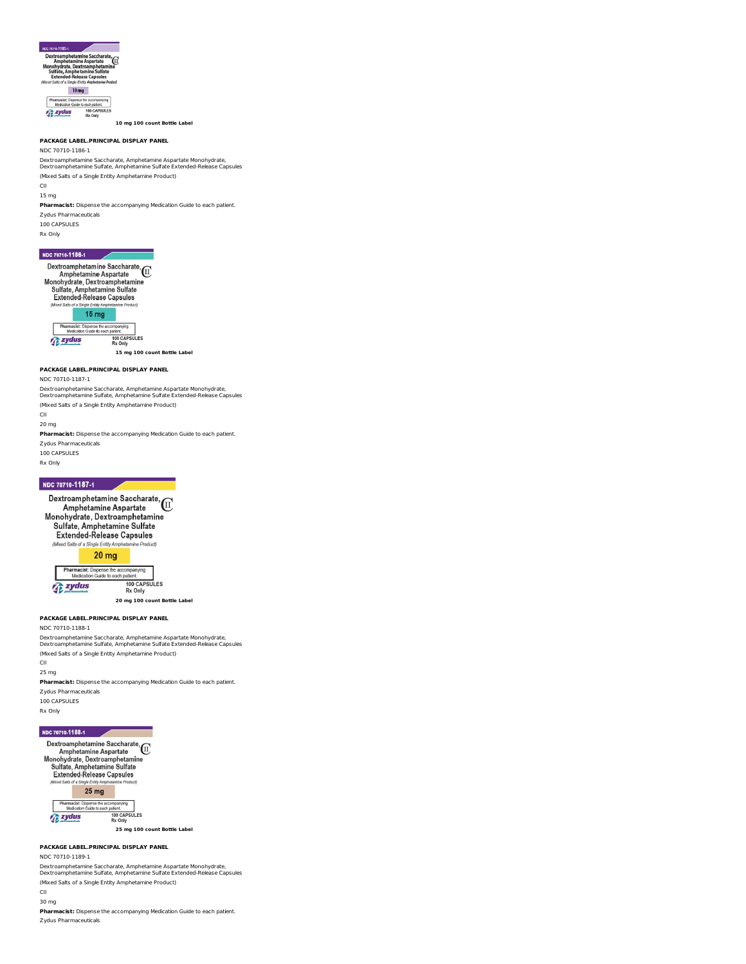

**10 mg 100 count Bottle Label**

### **PACKAGE LABEL.PRINCIPAL DISPLAY PANEL**

NDC 70710-1186-1

Dextroamphetamine Saccharate, Amphetamine Aspartate Monohydrate,<br>Dextroamphetamine Sulfate, Amphetamine Sulfate Extended-Release Capsules (Mixed Salts of a Single Entity Amphetamine Product) CII

15 mg

**Pharmacist:** Dispense the accompanying Medication Guide to each patient. Zydus Pharmaceuticals

100 CAPSULES

Rx Only

### NDC 70710-1186-1

Dextroamphetamine Saccharate, (II)<br>Amphetamine Aspartate Monohydrate, Dextroamphetamine<br>Sulfate, Amphetamine Sulfate Extended-Release Capsules s of a Single Entity Am  $15 \, \text{mg}$ Pharmacist: Dispense the accompanying<br>Medication Guide to each patient. 100 CAPSULES<br>Rx Only **The zydus** 

**15 mg 100 count Bottle Label**

### **PACKAGE LABEL.PRINCIPAL DISPLAY PANEL**

NDC 70710-1187-1

Dextroamphetamine Saccharate, Amphetamine Aspartate Monohydrate,<br>Dextroamphetamine Sulfate, Amphetamine Sulfate Extended-Release Capsules (Mixed Salts of a Single Entity Amphetamine Product) CII

20 mg

**Pharmacist:** Dispense the accompanying Medication Guide to each patient. Zydus Pharmaceuticals 100 CAPSULES

Rx Only

#### NDC 70710-1187-1

Dextroamphetamine Saccharate, Amphetamine Aspartate Monohydrate, Dextroamphetamine Sulfate, Amphetamine Sulfate **Extended-Release Capsules** (Mixed Salts of a Single Entity Ampheta ne Producti  $20<sub>mg</sub>$ 

Pharmacist: Dispense the accompanying<br>Medication Guide to each patient. 100 CAPSULES<br>Rx Only **F** zydus **20 mg 100 count Bottle Label**

#### **PACKAGE LABEL.PRINCIPAL DISPLAY PANEL**

NDC 70710-1188-1

Dextroamphetamine Saccharate, Amphetamine Aspartate Monohydrate,<br>Dextroamphetamine Sulfate, Amphetamine Sulfate Extended-Release Capsules (Mixed Salts of a Single Entity Amphetamine Product)

CII 25 mg

**Pharmacist:** Dispense the accompanying Medication Guide to each patient. Zydus Pharmaceuticals 100 CAPSULES

Rx Only

### NDC 70710-1188-1

VDC 70710-1188-1<br>Dextroamphetamine Saccharate, (T) Amphetamine Aspartate Sulfate, Amphetamine Sulfate<br>Extended-Release Capsules Salts of a S.  $25 \text{ mg}$ **Pharmacist Dispense the accompanying<br>
Medication Guide to each pattent.<br>
<b>25 25 mg** 100 CAPSULES<br>
25 **mg** 100 count Bottle Label **The Eydus** 

#### **PACKAGE LABEL.PRINCIPAL DISPLAY PANEL**

NDC 70710-1189-1

Dextroamphetamine Saccharate, Amphetamine Aspartate Monohydrate,<br>Dextroamphetamine Sulfate, Amphetamine Sulfate Extended-Release Capsules (Mixed Salts of a Single Entity Amphetamine Product)

#### CII 30 mg

**Pharmacist:** Dispense the accompanying Medication Guide to each patient. Zydus Pharmaceuticals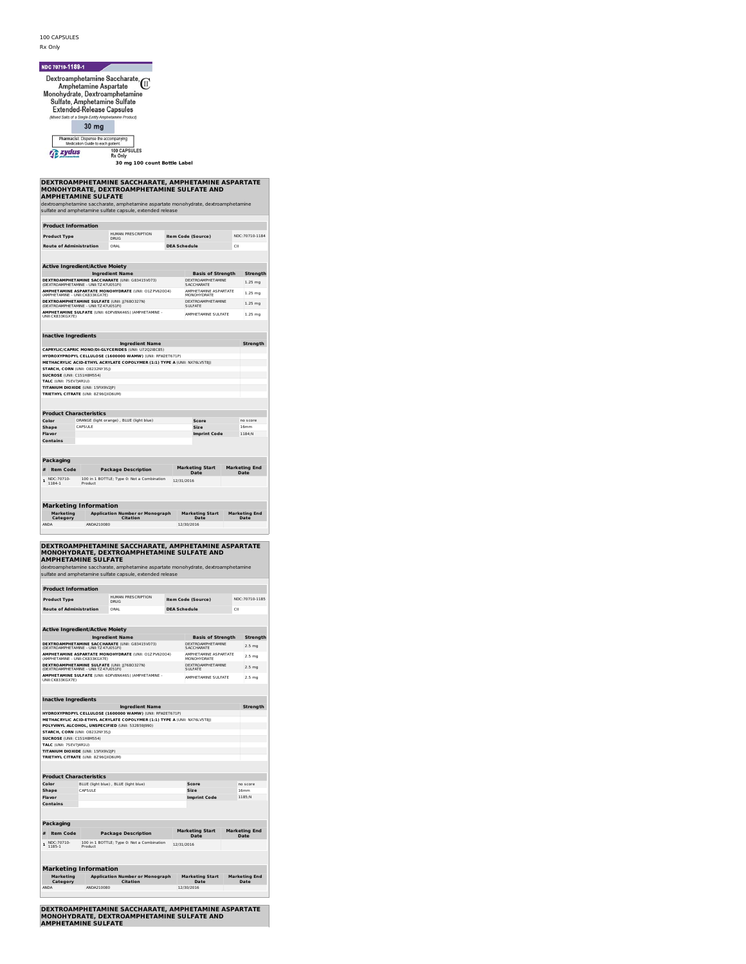100 CAPSULES Rx Only

|                                                                                                                                                                                                                                                                                                                                                                                                                                                                                                                                                                |                                                                                          | Dextroamphetamine Saccharate, II                                                                                                                                                                                                                     |                     |                                                      |             |                                               |
|----------------------------------------------------------------------------------------------------------------------------------------------------------------------------------------------------------------------------------------------------------------------------------------------------------------------------------------------------------------------------------------------------------------------------------------------------------------------------------------------------------------------------------------------------------------|------------------------------------------------------------------------------------------|------------------------------------------------------------------------------------------------------------------------------------------------------------------------------------------------------------------------------------------------------|---------------------|------------------------------------------------------|-------------|-----------------------------------------------|
|                                                                                                                                                                                                                                                                                                                                                                                                                                                                                                                                                                | <b>Amphetamine Aspartate</b>                                                             | Monohydrate, Dextroamphetamine                                                                                                                                                                                                                       |                     |                                                      |             |                                               |
|                                                                                                                                                                                                                                                                                                                                                                                                                                                                                                                                                                | Sulfate, Amphetamine Sulfate                                                             |                                                                                                                                                                                                                                                      |                     |                                                      |             |                                               |
|                                                                                                                                                                                                                                                                                                                                                                                                                                                                                                                                                                | <b>Extended-Release Capsules</b><br>(Mixed Salts of a Single Entity Amphetamine Product) |                                                                                                                                                                                                                                                      |                     |                                                      |             |                                               |
|                                                                                                                                                                                                                                                                                                                                                                                                                                                                                                                                                                | 30 mg                                                                                    |                                                                                                                                                                                                                                                      |                     |                                                      |             |                                               |
|                                                                                                                                                                                                                                                                                                                                                                                                                                                                                                                                                                | Pharmacist: Dispense the accompanying                                                    |                                                                                                                                                                                                                                                      |                     |                                                      |             |                                               |
|                                                                                                                                                                                                                                                                                                                                                                                                                                                                                                                                                                | Medication Guide to each patient                                                         | 100 CAPSULES                                                                                                                                                                                                                                         |                     |                                                      |             |                                               |
| <b>SE zydus</b>                                                                                                                                                                                                                                                                                                                                                                                                                                                                                                                                                |                                                                                          | Rx Only<br>30 mg 100 count Bottle Label                                                                                                                                                                                                              |                     |                                                      |             |                                               |
|                                                                                                                                                                                                                                                                                                                                                                                                                                                                                                                                                                |                                                                                          |                                                                                                                                                                                                                                                      |                     |                                                      |             |                                               |
| <b>AMPHETAMINE SULFATE</b>                                                                                                                                                                                                                                                                                                                                                                                                                                                                                                                                     |                                                                                          | DEXTROAMPHETAMINE SACCHARATE, AMPHETAMINE ASPARTATE<br>MONOHYDRATE, DEXTROAMPHETAMINE SULFATE AND<br>dextroamphetamine saccharate, amphetamine aspartate monohydrate, dextroamphetamine<br>sulfate and amphetamine sulfate capsule, extended release |                     |                                                      |             |                                               |
| <b>Product Information</b>                                                                                                                                                                                                                                                                                                                                                                                                                                                                                                                                     |                                                                                          |                                                                                                                                                                                                                                                      |                     |                                                      |             |                                               |
| <b>Product Type</b>                                                                                                                                                                                                                                                                                                                                                                                                                                                                                                                                            |                                                                                          | HUMAN PRESCRIPTION                                                                                                                                                                                                                                   |                     | Item Code (Source)                                   |             | NDC:70710-1184                                |
| <b>Route of Administration</b>                                                                                                                                                                                                                                                                                                                                                                                                                                                                                                                                 |                                                                                          | <b>DRUG</b><br>ORAL                                                                                                                                                                                                                                  | <b>DEA Schedule</b> |                                                      | CII         |                                               |
|                                                                                                                                                                                                                                                                                                                                                                                                                                                                                                                                                                |                                                                                          |                                                                                                                                                                                                                                                      |                     |                                                      |             |                                               |
| <b>Active Ingredient/Active Moiety</b>                                                                                                                                                                                                                                                                                                                                                                                                                                                                                                                         |                                                                                          |                                                                                                                                                                                                                                                      |                     |                                                      |             |                                               |
|                                                                                                                                                                                                                                                                                                                                                                                                                                                                                                                                                                |                                                                                          | <b>Ingredient Name</b>                                                                                                                                                                                                                               |                     | <b>Basis of Strength</b><br><b>DEXTROAMPHETAMINE</b> |             | <b>Strength</b>                               |
|                                                                                                                                                                                                                                                                                                                                                                                                                                                                                                                                                                |                                                                                          | DEXTROAMPHETAMINE SACCHARATE (UNII: G83415V073)<br>(DEXTROAMPHETAMINE - UNII:TZ 47U051FI)<br>AMPHETAMINE ASPARTATE MONOHYDRATE (UNII: 01ZPV62004)                                                                                                    |                     | SACCHARATE<br>AMPHETAMINE ASPARTATE                  |             | 1.25 <sub>mg</sub>                            |
| (AMPHETAMINE - UNII:CK833KGX7E)                                                                                                                                                                                                                                                                                                                                                                                                                                                                                                                                |                                                                                          | DEXTROAMPHETAMINE SULFATE (UNII: JJ7680327N)<br>(DEXTROAMPHETAMINE - UNII:TZ47U051FI)                                                                                                                                                                |                     | MONOHYDRATE<br><b>DEXTROAMPHETAMINE</b>              |             | 1.25 mg                                       |
|                                                                                                                                                                                                                                                                                                                                                                                                                                                                                                                                                                |                                                                                          | AMPHETAMINE SULFATE (UNII: 6DPV8NK46S) (AMPHETAMINE -                                                                                                                                                                                                |                     | <b>SULFATE</b>                                       |             | 1.25 <sub>ma</sub>                            |
| UNII:CK833KGX7E)                                                                                                                                                                                                                                                                                                                                                                                                                                                                                                                                               |                                                                                          |                                                                                                                                                                                                                                                      |                     | AMPHETAMINE SULFATE                                  |             | 1.25 <sub>mg</sub>                            |
|                                                                                                                                                                                                                                                                                                                                                                                                                                                                                                                                                                |                                                                                          |                                                                                                                                                                                                                                                      |                     |                                                      |             |                                               |
| <b>Inactive Ingredients</b>                                                                                                                                                                                                                                                                                                                                                                                                                                                                                                                                    |                                                                                          | <b>Ingredient Name</b>                                                                                                                                                                                                                               |                     |                                                      |             | Strength                                      |
|                                                                                                                                                                                                                                                                                                                                                                                                                                                                                                                                                                |                                                                                          | CAPRYLIC/CAPRIC MONO/DI-GLYCERIDES (UNII: U72Q2I8C85)                                                                                                                                                                                                |                     |                                                      |             |                                               |
|                                                                                                                                                                                                                                                                                                                                                                                                                                                                                                                                                                |                                                                                          | HYDROXYPROPYL CELLULOSE (1600000 WAMW) (UNII: RFW2ET671P)<br>METHACRYLIC ACID-ETHYL ACRYLATE COPOLYMER (1:1) TYPE A (UNII: NX76LV5T8J)                                                                                                               |                     |                                                      |             |                                               |
| STARCH, CORN (UNII: 08232NY3SJ)<br>SUCROSE (UNII: C151H8M554)                                                                                                                                                                                                                                                                                                                                                                                                                                                                                                  |                                                                                          |                                                                                                                                                                                                                                                      |                     |                                                      |             |                                               |
| TALC (UNII: 7SEV7J4R1U)                                                                                                                                                                                                                                                                                                                                                                                                                                                                                                                                        |                                                                                          |                                                                                                                                                                                                                                                      |                     |                                                      |             |                                               |
| TITANIUM DIOXIDE (UNII: 15FIX9V2JP)<br>TRIETHYL CITRATE (UNII: 8Z96QXD6UM)                                                                                                                                                                                                                                                                                                                                                                                                                                                                                     |                                                                                          |                                                                                                                                                                                                                                                      |                     |                                                      |             |                                               |
|                                                                                                                                                                                                                                                                                                                                                                                                                                                                                                                                                                |                                                                                          |                                                                                                                                                                                                                                                      |                     |                                                      |             |                                               |
| <b>Product Characteristics</b>                                                                                                                                                                                                                                                                                                                                                                                                                                                                                                                                 |                                                                                          |                                                                                                                                                                                                                                                      |                     |                                                      |             |                                               |
| Color<br>Shape                                                                                                                                                                                                                                                                                                                                                                                                                                                                                                                                                 | CAPSULE                                                                                  | ORANGE (light orange) , BLUE (light blue)                                                                                                                                                                                                            |                     | Score<br>Size                                        |             | no score<br>16mm                              |
| Flavor                                                                                                                                                                                                                                                                                                                                                                                                                                                                                                                                                         |                                                                                          |                                                                                                                                                                                                                                                      |                     | <b>Imprint Code</b>                                  |             | 1184:N                                        |
| <b>Contains</b>                                                                                                                                                                                                                                                                                                                                                                                                                                                                                                                                                |                                                                                          |                                                                                                                                                                                                                                                      |                     |                                                      |             |                                               |
|                                                                                                                                                                                                                                                                                                                                                                                                                                                                                                                                                                |                                                                                          |                                                                                                                                                                                                                                                      |                     |                                                      |             |                                               |
|                                                                                                                                                                                                                                                                                                                                                                                                                                                                                                                                                                |                                                                                          |                                                                                                                                                                                                                                                      |                     |                                                      |             |                                               |
|                                                                                                                                                                                                                                                                                                                                                                                                                                                                                                                                                                |                                                                                          |                                                                                                                                                                                                                                                      |                     |                                                      |             |                                               |
| <b>Item Code</b>                                                                                                                                                                                                                                                                                                                                                                                                                                                                                                                                               | Product                                                                                  | <b>Package Description</b><br>100 in 1 BOTTLE; Type 0: Not a Combination                                                                                                                                                                             |                     | <b>Marketing Start</b><br>Date<br>12/31/2016         |             | <b>Marketing End</b><br><b>Date</b>           |
| Packaging<br>#<br>$\begin{array}{c} \textbf{NDC:} \textbf{70710} \textbf{-} \\\textbf{1184-1} \end{array}$<br><b>Marketing Information</b><br><b>Marketing</b><br>Category                                                                                                                                                                                                                                                                                                                                                                                     |                                                                                          | <b>Application Number or Monograph</b><br>Citation                                                                                                                                                                                                   |                     | <b>Marketing Start</b><br>Date                       |             | <b>Marketing End</b><br>Date                  |
| ANDA                                                                                                                                                                                                                                                                                                                                                                                                                                                                                                                                                           | ANDA210080                                                                               |                                                                                                                                                                                                                                                      |                     | 12/30/2016                                           |             |                                               |
|                                                                                                                                                                                                                                                                                                                                                                                                                                                                                                                                                                |                                                                                          |                                                                                                                                                                                                                                                      |                     |                                                      |             |                                               |
|                                                                                                                                                                                                                                                                                                                                                                                                                                                                                                                                                                |                                                                                          | DEXTROAMPHETAMINE SACCHARATE, AMPHETAMINE ASPARTATE<br>MONOHYDRATE, DEXTROAMPHETAMINE SULFATE AND                                                                                                                                                    |                     |                                                      |             |                                               |
|                                                                                                                                                                                                                                                                                                                                                                                                                                                                                                                                                                |                                                                                          |                                                                                                                                                                                                                                                      |                     |                                                      |             |                                               |
|                                                                                                                                                                                                                                                                                                                                                                                                                                                                                                                                                                |                                                                                          | dextroamphetamine saccharate, amphetamine aspartate monohydrate, dextroamphetamine<br>sulfate and amphetamine sulfate capsule, extended release                                                                                                      |                     |                                                      |             |                                               |
|                                                                                                                                                                                                                                                                                                                                                                                                                                                                                                                                                                |                                                                                          |                                                                                                                                                                                                                                                      |                     |                                                      |             |                                               |
|                                                                                                                                                                                                                                                                                                                                                                                                                                                                                                                                                                |                                                                                          |                                                                                                                                                                                                                                                      |                     |                                                      |             |                                               |
|                                                                                                                                                                                                                                                                                                                                                                                                                                                                                                                                                                |                                                                                          | HUMAN PRESCRIPTION<br><b>DRUG</b>                                                                                                                                                                                                                    |                     | <b>Item Code (Source)</b>                            |             |                                               |
|                                                                                                                                                                                                                                                                                                                                                                                                                                                                                                                                                                |                                                                                          | ORAL                                                                                                                                                                                                                                                 | <b>DEA Schedule</b> |                                                      | CII         |                                               |
|                                                                                                                                                                                                                                                                                                                                                                                                                                                                                                                                                                |                                                                                          |                                                                                                                                                                                                                                                      |                     |                                                      |             |                                               |
|                                                                                                                                                                                                                                                                                                                                                                                                                                                                                                                                                                |                                                                                          | <b>Ingredient Name</b>                                                                                                                                                                                                                               |                     | <b>Basis of Strength</b>                             |             |                                               |
|                                                                                                                                                                                                                                                                                                                                                                                                                                                                                                                                                                |                                                                                          |                                                                                                                                                                                                                                                      |                     | DEXTROAMPHETAMINE<br>SACCHARATE                      |             | 2.5 <sub>mg</sub>                             |
|                                                                                                                                                                                                                                                                                                                                                                                                                                                                                                                                                                |                                                                                          | DEXTROAMPHETAMINE SACCHARATE (UNII: G83415V073)<br>(DEXTROAMPHETAMINE - UNII:TZ 47U051FI)<br>AMPHETAMINE ASPARTATE MONOHYDRATE (UNII: 01ZPV62004)                                                                                                    |                     | AMPHETAMINE ASPARTATE<br>MONOHYDRATE                 |             | 2.5 <sub>ma</sub>                             |
|                                                                                                                                                                                                                                                                                                                                                                                                                                                                                                                                                                |                                                                                          | DEXTROAMPHETAMINE SULFATE (UNII: JJ7680327N)                                                                                                                                                                                                         |                     | <b>DEXTROAMPHETAMINE</b>                             |             | 2.5 <sub>mg</sub>                             |
|                                                                                                                                                                                                                                                                                                                                                                                                                                                                                                                                                                |                                                                                          | AMPHETAMINE SULFATE (UNII: 6DPV8NK46S) (AMPHETAMINE -                                                                                                                                                                                                |                     | SULFATE<br>AMPHETAMINE SULFATE                       |             | 2.5 <sub>mg</sub>                             |
|                                                                                                                                                                                                                                                                                                                                                                                                                                                                                                                                                                |                                                                                          |                                                                                                                                                                                                                                                      |                     |                                                      |             |                                               |
|                                                                                                                                                                                                                                                                                                                                                                                                                                                                                                                                                                |                                                                                          |                                                                                                                                                                                                                                                      |                     |                                                      |             |                                               |
|                                                                                                                                                                                                                                                                                                                                                                                                                                                                                                                                                                |                                                                                          | <b>Ingredient Name</b>                                                                                                                                                                                                                               |                     |                                                      |             |                                               |
|                                                                                                                                                                                                                                                                                                                                                                                                                                                                                                                                                                |                                                                                          | HYDROXYPROPYL CELLULOSE (1600000 WAMW) (UNII: RFW2ET671P)<br>METHACRYLIC ACID-ETHYL ACRYLATE COPOLYMER (1:1) TYPE A (UNII: NX76LV5T8J)                                                                                                               |                     |                                                      |             |                                               |
|                                                                                                                                                                                                                                                                                                                                                                                                                                                                                                                                                                |                                                                                          | POLYVINYL ALCOHOL, UNSPECIFIED (UNII: 532B59J990)                                                                                                                                                                                                    |                     |                                                      |             | NDC:70710-1185<br><b>Strength</b><br>Strength |
|                                                                                                                                                                                                                                                                                                                                                                                                                                                                                                                                                                |                                                                                          |                                                                                                                                                                                                                                                      |                     |                                                      |             |                                               |
|                                                                                                                                                                                                                                                                                                                                                                                                                                                                                                                                                                |                                                                                          |                                                                                                                                                                                                                                                      |                     |                                                      |             |                                               |
|                                                                                                                                                                                                                                                                                                                                                                                                                                                                                                                                                                |                                                                                          |                                                                                                                                                                                                                                                      |                     |                                                      |             |                                               |
|                                                                                                                                                                                                                                                                                                                                                                                                                                                                                                                                                                |                                                                                          |                                                                                                                                                                                                                                                      |                     |                                                      |             |                                               |
|                                                                                                                                                                                                                                                                                                                                                                                                                                                                                                                                                                |                                                                                          |                                                                                                                                                                                                                                                      |                     |                                                      |             |                                               |
|                                                                                                                                                                                                                                                                                                                                                                                                                                                                                                                                                                |                                                                                          | BLUE (light blue), BLUE (light blue)                                                                                                                                                                                                                 |                     | Score no score<br>Size                               | <b>16mm</b> |                                               |
|                                                                                                                                                                                                                                                                                                                                                                                                                                                                                                                                                                |                                                                                          |                                                                                                                                                                                                                                                      |                     | Imprint Code 1185;N                                  |             |                                               |
| <b>AMPHETAMINE SULFATE</b><br><b>Product Information</b><br><b>Product Type</b><br><b>Route of Administration</b><br><b>Active Ingredient/Active Moiety</b><br>(AMPHETAMINE - UNII:CKB33KGX7E)<br>(DEXTROAMPHETAMINE - UNII:TZ 47U051FI)<br>UNII:CK833KGX7E)<br><b>Inactive Ingredients</b><br>STARCH, CORN (UNII: 08232NY3SJ)<br>SUCROSE (UNII: C151H8M554)<br>TALC (UNII: 7SEV7J4R1U)<br>TITANIUM DIOXIDE (UNII: 15FIX9V2IP)<br>TRIETHYL CITRATE (UNII: 8Z96QXD6UM)<br><b>Product Characteristics</b><br>Color<br>Shape CAPSULE<br>Flavor<br><b>Contains</b> |                                                                                          |                                                                                                                                                                                                                                                      |                     |                                                      |             |                                               |
|                                                                                                                                                                                                                                                                                                                                                                                                                                                                                                                                                                |                                                                                          |                                                                                                                                                                                                                                                      |                     |                                                      |             |                                               |
| Packaging                                                                                                                                                                                                                                                                                                                                                                                                                                                                                                                                                      |                                                                                          |                                                                                                                                                                                                                                                      |                     | <b>Marketing Start</b>                               |             | <b>Marketing End</b>                          |
| #<br><b>Item Code</b>                                                                                                                                                                                                                                                                                                                                                                                                                                                                                                                                          |                                                                                          | <b>Package Description</b>                                                                                                                                                                                                                           |                     | Date                                                 |             | Date                                          |
|                                                                                                                                                                                                                                                                                                                                                                                                                                                                                                                                                                |                                                                                          | $\begin{tabular}{l l l} NDC:70710- & & 100 in 1 BOTTE; Type 0: Not a Combination \\ 1185-1 & Product \end{tabular}$                                                                                                                                  |                     | 12/31/2016                                           |             |                                               |
|                                                                                                                                                                                                                                                                                                                                                                                                                                                                                                                                                                |                                                                                          |                                                                                                                                                                                                                                                      |                     |                                                      |             |                                               |
| <b>Marketing Information</b><br><b>Marketing</b>                                                                                                                                                                                                                                                                                                                                                                                                                                                                                                               |                                                                                          | <b>Application Number or Monograph</b>                                                                                                                                                                                                               |                     | Marketing Start Marketing End<br>Date Date           |             |                                               |

**DEXTROAMPHETAMINE SACCHARATE, AMPHETAMINE ASPARTATE MONOHYDRATE, DEXTROAMPHETAMINE SULFATE AND AMPHETAMINE SULFATE**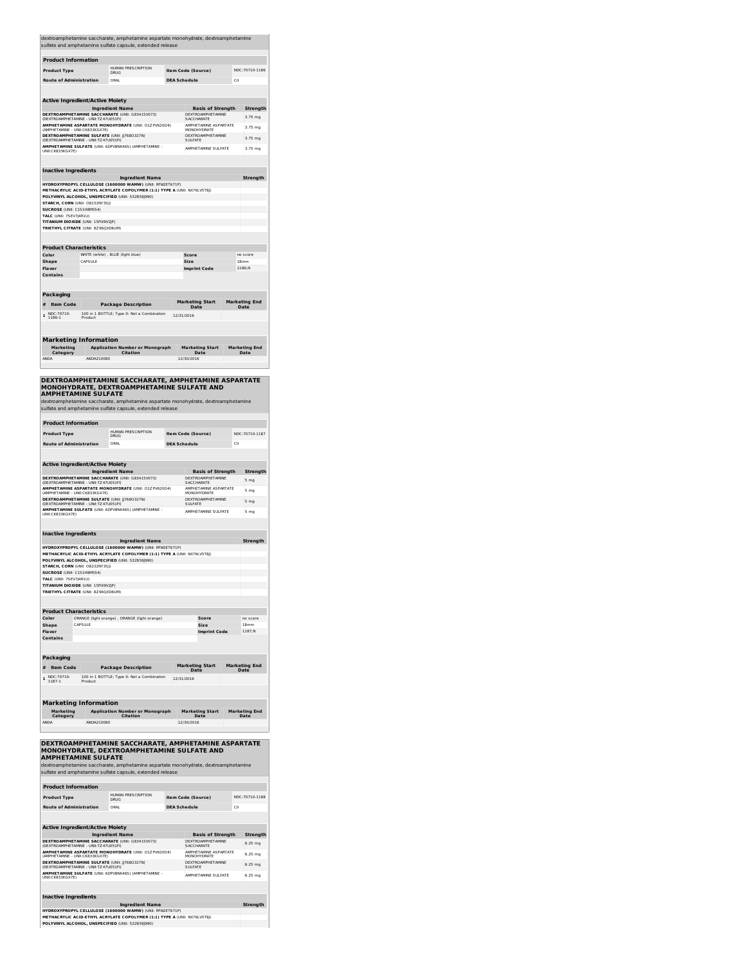| <b>HUMAN PRESCRIPTION</b><br><b>Item Code (Source)</b><br>NDC: 70710-1186<br>DRUG<br><b>Route of Administration</b><br>ORAL<br><b>DEA Schedule</b><br>CII<br><b>Active Ingredient/Active Moiety</b><br><b>Ingredient Name</b><br><b>Basis of Strength</b><br><b>Strength</b><br><b>DEXTROAMPHETAMINE SACCHARATE</b> (UNII: G83415V073)<br>(DEXTROAMPHETAMINE - UNII:TZ 47U051FI)<br>DEXTROAMPHETAMINE<br>3.75 mg<br>SACCHARATE<br>AMPHETAMINE ASPARTATE MONOHYDRATE (UNII: 01ZPV62004)<br>AMPHETAMINE ASPARTATE<br>3.75 mg<br>MPHETAMINE - UNII:CK833KGX7E)<br>MONOHYDRATE<br><b>DEXTROAMPHETAMINE SULFATE (UNII: JJ7680327N)</b><br><b>DEXTROAMPHETAMINE</b><br>3.75 mg<br>(DEXTROAMPHETAMINE - UNII:TZ 47U051FI)<br>SULFATE<br>AMPHETAMINE SULFATE (UNII: 6DPV8NK46S) (AMPHETAMINE -<br>AMPHETAMINE SULFATE<br>3.75 mg<br><b>Inactive Ingredients</b><br><b>Ingredient Name</b><br>HYDROXYPROPYL CELLULOSE (1600000 WAMW) (UNII: RFW2ET671P)<br>METHACRYLIC ACID-ETHYL ACRYLATE COPOLYMER (1:1) TYPE A (UNII: NX76LV5T8I)<br>POLYVINYL ALCOHOL, UNSPECIFIED (UNII: 532B59J990)<br>STARCH, CORN (UNII: 08232NY3SI)<br>SUCROSE (UNII: C151H8M554)<br>TALC (UNII: 7SEV7J4R1U)<br>TITANIUM DIOXIDE (UNII: 15FIX9V2JP)<br>TRIETHYL CITRATE (UNII: 8Z96QXD6UM)<br><b>Product Characteristics</b><br>WHITE (white), BLUE (light blue)<br>Score<br>no score<br>CAPSULE<br>18mm<br>Shane<br>Size<br><b>Imprint Code</b><br>1186;N<br><b>Marketing Start</b><br><b>Marketing End</b><br><b>Package Description</b><br>Date<br>Date<br>100 in 1 BOTTLE; Type 0: Not a Combination<br>12/31/2016<br>Product<br><b>Marketing Information</b><br><b>Application Number or Monograph</b><br>Marketing<br><b>Marketing Start</b><br><b>Marketing End</b><br>Citation<br>Date<br>Category<br>Dat<br><b>ANDA</b><br>ANDA210080<br>12/30/2016<br>DEXTROAMPHETAMINE SACCHARATE, AMPHETAMINE ASPARTATE<br>MONOHYDRATE, DEXTROAMPHETAMINE SULFATE AND<br>AMPHETAMINE SULFATE<br>dextroamphetamine saccharate, amphetamine aspartate monohydrate, dextroamphetamine<br>sulfate and amphetamine sulfate capsule, extended release<br><b>Product Information</b><br>HUMAN PRESCRIPTION<br><b>Item Code (Source)</b><br>NDC:70710-1187<br>DRUG<br><b>Route of Administration</b><br>ORAL<br><b>DEA Schedule</b><br>CII<br><b>Active Ingredient/Active Moiety</b><br><b>Ingredient Name</b><br><b>Basis of Strength</b><br><b>DEXTROAMPHETAMINE</b><br>DEXTROAMPHETAMINE SACCHARATE (UNII: G83415V073)<br>5 mg<br>(DEXTROAMPHETAMINE - UNII:TZ 47U051FI)<br>SACCHARATE<br>AMPHETAMINE ASPARTATE MONOHYDRATE (UNII: 01ZPV62004)<br>AMPHETAMINE ASPARTATE<br>5 mg<br><b>MONOHYDRATE</b><br>(AMPHETAMINE - UNII:CK833KGX7E)<br><b>DEXTROAMPHETAMINE SULFATE (UNII: JJ7680327N)</b><br><b>DEXTROAMPHETAMINE</b><br>5 mg<br>(DEXTROAMPHETAMINE - UNII:TZ 47U051FI)<br><b>SULFATE</b><br>AMPHETAMINE SULFATE (UNII: 6DPV8NK46S) (AMPHETAMINE -<br>AMPHETAMINE SULFATE<br>5 mg<br><b>Inactive Ingredients</b><br><b>Ingredient Name</b><br><b>Strength</b><br>HYDROXYPROPYL CELLULOSE (1600000 WAMW) (UNII: RFW2ET671P)<br>METHACRYLIC ACID-ETHYL ACRYLATE COPOLYMER (1:1) TYPE A (UNII: NX76LV5T8I)<br>POLYVINYL ALCOHOL, UNSPECIFIED (UNII: 532B59J990)<br>STARCH, CORN (UNII: 08232NY3SI)<br>TALC (UNII: 7SEV7J4R1U)<br>TITANIUM DIOXIDE (UNII: 15FIX9V2JP)<br>TRIETHYL CITRATE (UNII: 8Z96QXD6UM)<br><b>Product Characteristics</b><br>Color ORANGE (light orange) , ORANGE (light orange)<br>no score<br>Score<br>CAPSULE<br>18mm<br>Size<br>Imprint Code 1187;N<br><b>Marketing Start</b><br><b>Marketing End</b><br><b>Package Description</b><br><b>Date</b><br><b>Date</b><br>100 in 1 BOTTLE; Type 0: Not a Combination<br>12/31/2016<br>Product<br><b>Marketing Information</b><br>Marketing Start Marketing End<br>Marketing<br><b>Application Number or Monograph</b><br>Citation<br>Category<br>Date<br>Date<br>ANDA210080<br>12/30/2016<br>DEXTROAMPHETAMINE SACCHARATE, AMPHETAMINE ASPARTATE<br>MONOHYDRATE, DEXTROAMPHETAMINE SULFATE AND<br><b>AMPHETAMINE SULFATE</b><br>dextroamphetamine saccharate, amphetamine aspartate monohydrate, dextroamphetamine<br>sulfate and amphetamine sulfate capsule, extended release<br><b>Product Information</b><br>HUMAN PRESCRIPTION<br><b>Item Code (Source)</b><br>NDC:70710-1188<br>DRUG<br>ORAL<br><b>Route of Administration</b><br><b>DEA Schedule</b><br>CII<br><b>Active Ingredient/Active Moiety</b><br><b>Ingredient Name</b><br>Basis of Strength Strength<br>DEXTROAMPHETAMINE SACCHARATE (UNII: G83415V073)<br>DEXTROAMPHETAMINE<br>$6.25$ mg<br>(DEXTROAMPHETAMINE - UNII:TZ 47U051FI)<br>SACCHARATE<br>AMPHETAMINE ASPARTATE MONOHYDRATE (UNII: 01ZPV62004)<br>AMPHETAMINE ASPARTATE<br>6.25 mg<br>MONOHYDRATE<br>(AMPHETAMINE - UNII:CK833KGX7E)<br><b>DEXTROAMPHETAMINE SULFATE (UNII: II7680327N)</b><br><b>DEXTROAMPHETAMINE</b><br>$6.25$ mg<br>(DEXTROAMPHETAMINE - UNII:TZ 47U051FI)<br>SULFATE<br>AMPHETAMINE SULFATE (UNII: 6DPV8NK46S) (AMPHETAMINE -<br>AMPHETAMINE SULFATE<br>6.25 mg<br><b>Inactive Ingredients</b> |                                                                                                | <b>Product Information</b> |  |  |                 |
|-----------------------------------------------------------------------------------------------------------------------------------------------------------------------------------------------------------------------------------------------------------------------------------------------------------------------------------------------------------------------------------------------------------------------------------------------------------------------------------------------------------------------------------------------------------------------------------------------------------------------------------------------------------------------------------------------------------------------------------------------------------------------------------------------------------------------------------------------------------------------------------------------------------------------------------------------------------------------------------------------------------------------------------------------------------------------------------------------------------------------------------------------------------------------------------------------------------------------------------------------------------------------------------------------------------------------------------------------------------------------------------------------------------------------------------------------------------------------------------------------------------------------------------------------------------------------------------------------------------------------------------------------------------------------------------------------------------------------------------------------------------------------------------------------------------------------------------------------------------------------------------------------------------------------------------------------------------------------------------------------------------------------------------------------------------------------------------------------------------------------------------------------------------------------------------------------------------------------------------------------------------------------------------------------------------------------------------------------------------------------------------------------------------------------------------------------------------------------------------------------------------------------------------------------------------------------------------------------------------------------------------------------------------------------------------------------------------------------------------------------------------------------------------------------------------------------------------------------------------------------------------------------------------------------------------------------------------------------------------------------------------------------------------------------------------------------------------------------------------------------------------------------------------------------------------------------------------------------------------------------------------------------------------------------------------------------------------------------------------------------------------------------------------------------------------------------------------------------------------------------------------------------------------------------------------------------------------------------------------------------------------------------------------------------------------------------------------------------------------------------------------------------------------------------------------------------------------------------------------------------------------------------------------------------------------------------------------------------------------------------------------------------------------------------------------------------------------------------------------------------------------------------------------------------------------------------------------------------------------------------------------------------------------------------------------------------------------------------------------------------------------------------------------------------------------------------------------------------------------------------------------------------------------------------------------------------------------------------------------------------------------------------------------------------------------------------------------------------------------------------------------------------------------------------------------------------------------------------------------------------------------------------------------------------------------------------------------------------------------------------------------------------------------------------------------------------------|------------------------------------------------------------------------------------------------|----------------------------|--|--|-----------------|
|                                                                                                                                                                                                                                                                                                                                                                                                                                                                                                                                                                                                                                                                                                                                                                                                                                                                                                                                                                                                                                                                                                                                                                                                                                                                                                                                                                                                                                                                                                                                                                                                                                                                                                                                                                                                                                                                                                                                                                                                                                                                                                                                                                                                                                                                                                                                                                                                                                                                                                                                                                                                                                                                                                                                                                                                                                                                                                                                                                                                                                                                                                                                                                                                                                                                                                                                                                                                                                                                                                                                                                                                                                                                                                                                                                                                                                                                                                                                                                                                                                                                                                                                                                                                                                                                                                                                                                                                                                                                                                                                                                                                                                                                                                                                                                                                                                                                                                                                                                                                                                                                             | <b>Product Type</b>                                                                            |                            |  |  |                 |
|                                                                                                                                                                                                                                                                                                                                                                                                                                                                                                                                                                                                                                                                                                                                                                                                                                                                                                                                                                                                                                                                                                                                                                                                                                                                                                                                                                                                                                                                                                                                                                                                                                                                                                                                                                                                                                                                                                                                                                                                                                                                                                                                                                                                                                                                                                                                                                                                                                                                                                                                                                                                                                                                                                                                                                                                                                                                                                                                                                                                                                                                                                                                                                                                                                                                                                                                                                                                                                                                                                                                                                                                                                                                                                                                                                                                                                                                                                                                                                                                                                                                                                                                                                                                                                                                                                                                                                                                                                                                                                                                                                                                                                                                                                                                                                                                                                                                                                                                                                                                                                                                             |                                                                                                |                            |  |  |                 |
|                                                                                                                                                                                                                                                                                                                                                                                                                                                                                                                                                                                                                                                                                                                                                                                                                                                                                                                                                                                                                                                                                                                                                                                                                                                                                                                                                                                                                                                                                                                                                                                                                                                                                                                                                                                                                                                                                                                                                                                                                                                                                                                                                                                                                                                                                                                                                                                                                                                                                                                                                                                                                                                                                                                                                                                                                                                                                                                                                                                                                                                                                                                                                                                                                                                                                                                                                                                                                                                                                                                                                                                                                                                                                                                                                                                                                                                                                                                                                                                                                                                                                                                                                                                                                                                                                                                                                                                                                                                                                                                                                                                                                                                                                                                                                                                                                                                                                                                                                                                                                                                                             |                                                                                                |                            |  |  |                 |
|                                                                                                                                                                                                                                                                                                                                                                                                                                                                                                                                                                                                                                                                                                                                                                                                                                                                                                                                                                                                                                                                                                                                                                                                                                                                                                                                                                                                                                                                                                                                                                                                                                                                                                                                                                                                                                                                                                                                                                                                                                                                                                                                                                                                                                                                                                                                                                                                                                                                                                                                                                                                                                                                                                                                                                                                                                                                                                                                                                                                                                                                                                                                                                                                                                                                                                                                                                                                                                                                                                                                                                                                                                                                                                                                                                                                                                                                                                                                                                                                                                                                                                                                                                                                                                                                                                                                                                                                                                                                                                                                                                                                                                                                                                                                                                                                                                                                                                                                                                                                                                                                             |                                                                                                |                            |  |  |                 |
|                                                                                                                                                                                                                                                                                                                                                                                                                                                                                                                                                                                                                                                                                                                                                                                                                                                                                                                                                                                                                                                                                                                                                                                                                                                                                                                                                                                                                                                                                                                                                                                                                                                                                                                                                                                                                                                                                                                                                                                                                                                                                                                                                                                                                                                                                                                                                                                                                                                                                                                                                                                                                                                                                                                                                                                                                                                                                                                                                                                                                                                                                                                                                                                                                                                                                                                                                                                                                                                                                                                                                                                                                                                                                                                                                                                                                                                                                                                                                                                                                                                                                                                                                                                                                                                                                                                                                                                                                                                                                                                                                                                                                                                                                                                                                                                                                                                                                                                                                                                                                                                                             |                                                                                                |                            |  |  |                 |
|                                                                                                                                                                                                                                                                                                                                                                                                                                                                                                                                                                                                                                                                                                                                                                                                                                                                                                                                                                                                                                                                                                                                                                                                                                                                                                                                                                                                                                                                                                                                                                                                                                                                                                                                                                                                                                                                                                                                                                                                                                                                                                                                                                                                                                                                                                                                                                                                                                                                                                                                                                                                                                                                                                                                                                                                                                                                                                                                                                                                                                                                                                                                                                                                                                                                                                                                                                                                                                                                                                                                                                                                                                                                                                                                                                                                                                                                                                                                                                                                                                                                                                                                                                                                                                                                                                                                                                                                                                                                                                                                                                                                                                                                                                                                                                                                                                                                                                                                                                                                                                                                             |                                                                                                |                            |  |  |                 |
|                                                                                                                                                                                                                                                                                                                                                                                                                                                                                                                                                                                                                                                                                                                                                                                                                                                                                                                                                                                                                                                                                                                                                                                                                                                                                                                                                                                                                                                                                                                                                                                                                                                                                                                                                                                                                                                                                                                                                                                                                                                                                                                                                                                                                                                                                                                                                                                                                                                                                                                                                                                                                                                                                                                                                                                                                                                                                                                                                                                                                                                                                                                                                                                                                                                                                                                                                                                                                                                                                                                                                                                                                                                                                                                                                                                                                                                                                                                                                                                                                                                                                                                                                                                                                                                                                                                                                                                                                                                                                                                                                                                                                                                                                                                                                                                                                                                                                                                                                                                                                                                                             | UNIECKR33KGX7FI                                                                                |                            |  |  |                 |
|                                                                                                                                                                                                                                                                                                                                                                                                                                                                                                                                                                                                                                                                                                                                                                                                                                                                                                                                                                                                                                                                                                                                                                                                                                                                                                                                                                                                                                                                                                                                                                                                                                                                                                                                                                                                                                                                                                                                                                                                                                                                                                                                                                                                                                                                                                                                                                                                                                                                                                                                                                                                                                                                                                                                                                                                                                                                                                                                                                                                                                                                                                                                                                                                                                                                                                                                                                                                                                                                                                                                                                                                                                                                                                                                                                                                                                                                                                                                                                                                                                                                                                                                                                                                                                                                                                                                                                                                                                                                                                                                                                                                                                                                                                                                                                                                                                                                                                                                                                                                                                                                             |                                                                                                |                            |  |  |                 |
|                                                                                                                                                                                                                                                                                                                                                                                                                                                                                                                                                                                                                                                                                                                                                                                                                                                                                                                                                                                                                                                                                                                                                                                                                                                                                                                                                                                                                                                                                                                                                                                                                                                                                                                                                                                                                                                                                                                                                                                                                                                                                                                                                                                                                                                                                                                                                                                                                                                                                                                                                                                                                                                                                                                                                                                                                                                                                                                                                                                                                                                                                                                                                                                                                                                                                                                                                                                                                                                                                                                                                                                                                                                                                                                                                                                                                                                                                                                                                                                                                                                                                                                                                                                                                                                                                                                                                                                                                                                                                                                                                                                                                                                                                                                                                                                                                                                                                                                                                                                                                                                                             |                                                                                                |                            |  |  | Strength        |
|                                                                                                                                                                                                                                                                                                                                                                                                                                                                                                                                                                                                                                                                                                                                                                                                                                                                                                                                                                                                                                                                                                                                                                                                                                                                                                                                                                                                                                                                                                                                                                                                                                                                                                                                                                                                                                                                                                                                                                                                                                                                                                                                                                                                                                                                                                                                                                                                                                                                                                                                                                                                                                                                                                                                                                                                                                                                                                                                                                                                                                                                                                                                                                                                                                                                                                                                                                                                                                                                                                                                                                                                                                                                                                                                                                                                                                                                                                                                                                                                                                                                                                                                                                                                                                                                                                                                                                                                                                                                                                                                                                                                                                                                                                                                                                                                                                                                                                                                                                                                                                                                             |                                                                                                |                            |  |  |                 |
|                                                                                                                                                                                                                                                                                                                                                                                                                                                                                                                                                                                                                                                                                                                                                                                                                                                                                                                                                                                                                                                                                                                                                                                                                                                                                                                                                                                                                                                                                                                                                                                                                                                                                                                                                                                                                                                                                                                                                                                                                                                                                                                                                                                                                                                                                                                                                                                                                                                                                                                                                                                                                                                                                                                                                                                                                                                                                                                                                                                                                                                                                                                                                                                                                                                                                                                                                                                                                                                                                                                                                                                                                                                                                                                                                                                                                                                                                                                                                                                                                                                                                                                                                                                                                                                                                                                                                                                                                                                                                                                                                                                                                                                                                                                                                                                                                                                                                                                                                                                                                                                                             |                                                                                                |                            |  |  |                 |
|                                                                                                                                                                                                                                                                                                                                                                                                                                                                                                                                                                                                                                                                                                                                                                                                                                                                                                                                                                                                                                                                                                                                                                                                                                                                                                                                                                                                                                                                                                                                                                                                                                                                                                                                                                                                                                                                                                                                                                                                                                                                                                                                                                                                                                                                                                                                                                                                                                                                                                                                                                                                                                                                                                                                                                                                                                                                                                                                                                                                                                                                                                                                                                                                                                                                                                                                                                                                                                                                                                                                                                                                                                                                                                                                                                                                                                                                                                                                                                                                                                                                                                                                                                                                                                                                                                                                                                                                                                                                                                                                                                                                                                                                                                                                                                                                                                                                                                                                                                                                                                                                             |                                                                                                |                            |  |  |                 |
|                                                                                                                                                                                                                                                                                                                                                                                                                                                                                                                                                                                                                                                                                                                                                                                                                                                                                                                                                                                                                                                                                                                                                                                                                                                                                                                                                                                                                                                                                                                                                                                                                                                                                                                                                                                                                                                                                                                                                                                                                                                                                                                                                                                                                                                                                                                                                                                                                                                                                                                                                                                                                                                                                                                                                                                                                                                                                                                                                                                                                                                                                                                                                                                                                                                                                                                                                                                                                                                                                                                                                                                                                                                                                                                                                                                                                                                                                                                                                                                                                                                                                                                                                                                                                                                                                                                                                                                                                                                                                                                                                                                                                                                                                                                                                                                                                                                                                                                                                                                                                                                                             |                                                                                                |                            |  |  |                 |
|                                                                                                                                                                                                                                                                                                                                                                                                                                                                                                                                                                                                                                                                                                                                                                                                                                                                                                                                                                                                                                                                                                                                                                                                                                                                                                                                                                                                                                                                                                                                                                                                                                                                                                                                                                                                                                                                                                                                                                                                                                                                                                                                                                                                                                                                                                                                                                                                                                                                                                                                                                                                                                                                                                                                                                                                                                                                                                                                                                                                                                                                                                                                                                                                                                                                                                                                                                                                                                                                                                                                                                                                                                                                                                                                                                                                                                                                                                                                                                                                                                                                                                                                                                                                                                                                                                                                                                                                                                                                                                                                                                                                                                                                                                                                                                                                                                                                                                                                                                                                                                                                             |                                                                                                |                            |  |  |                 |
|                                                                                                                                                                                                                                                                                                                                                                                                                                                                                                                                                                                                                                                                                                                                                                                                                                                                                                                                                                                                                                                                                                                                                                                                                                                                                                                                                                                                                                                                                                                                                                                                                                                                                                                                                                                                                                                                                                                                                                                                                                                                                                                                                                                                                                                                                                                                                                                                                                                                                                                                                                                                                                                                                                                                                                                                                                                                                                                                                                                                                                                                                                                                                                                                                                                                                                                                                                                                                                                                                                                                                                                                                                                                                                                                                                                                                                                                                                                                                                                                                                                                                                                                                                                                                                                                                                                                                                                                                                                                                                                                                                                                                                                                                                                                                                                                                                                                                                                                                                                                                                                                             | Color                                                                                          |                            |  |  |                 |
|                                                                                                                                                                                                                                                                                                                                                                                                                                                                                                                                                                                                                                                                                                                                                                                                                                                                                                                                                                                                                                                                                                                                                                                                                                                                                                                                                                                                                                                                                                                                                                                                                                                                                                                                                                                                                                                                                                                                                                                                                                                                                                                                                                                                                                                                                                                                                                                                                                                                                                                                                                                                                                                                                                                                                                                                                                                                                                                                                                                                                                                                                                                                                                                                                                                                                                                                                                                                                                                                                                                                                                                                                                                                                                                                                                                                                                                                                                                                                                                                                                                                                                                                                                                                                                                                                                                                                                                                                                                                                                                                                                                                                                                                                                                                                                                                                                                                                                                                                                                                                                                                             | Flavor                                                                                         |                            |  |  |                 |
|                                                                                                                                                                                                                                                                                                                                                                                                                                                                                                                                                                                                                                                                                                                                                                                                                                                                                                                                                                                                                                                                                                                                                                                                                                                                                                                                                                                                                                                                                                                                                                                                                                                                                                                                                                                                                                                                                                                                                                                                                                                                                                                                                                                                                                                                                                                                                                                                                                                                                                                                                                                                                                                                                                                                                                                                                                                                                                                                                                                                                                                                                                                                                                                                                                                                                                                                                                                                                                                                                                                                                                                                                                                                                                                                                                                                                                                                                                                                                                                                                                                                                                                                                                                                                                                                                                                                                                                                                                                                                                                                                                                                                                                                                                                                                                                                                                                                                                                                                                                                                                                                             | <b>Contains</b>                                                                                |                            |  |  |                 |
|                                                                                                                                                                                                                                                                                                                                                                                                                                                                                                                                                                                                                                                                                                                                                                                                                                                                                                                                                                                                                                                                                                                                                                                                                                                                                                                                                                                                                                                                                                                                                                                                                                                                                                                                                                                                                                                                                                                                                                                                                                                                                                                                                                                                                                                                                                                                                                                                                                                                                                                                                                                                                                                                                                                                                                                                                                                                                                                                                                                                                                                                                                                                                                                                                                                                                                                                                                                                                                                                                                                                                                                                                                                                                                                                                                                                                                                                                                                                                                                                                                                                                                                                                                                                                                                                                                                                                                                                                                                                                                                                                                                                                                                                                                                                                                                                                                                                                                                                                                                                                                                                             | Packaging                                                                                      |                            |  |  |                 |
|                                                                                                                                                                                                                                                                                                                                                                                                                                                                                                                                                                                                                                                                                                                                                                                                                                                                                                                                                                                                                                                                                                                                                                                                                                                                                                                                                                                                                                                                                                                                                                                                                                                                                                                                                                                                                                                                                                                                                                                                                                                                                                                                                                                                                                                                                                                                                                                                                                                                                                                                                                                                                                                                                                                                                                                                                                                                                                                                                                                                                                                                                                                                                                                                                                                                                                                                                                                                                                                                                                                                                                                                                                                                                                                                                                                                                                                                                                                                                                                                                                                                                                                                                                                                                                                                                                                                                                                                                                                                                                                                                                                                                                                                                                                                                                                                                                                                                                                                                                                                                                                                             | # Item Code                                                                                    |                            |  |  |                 |
|                                                                                                                                                                                                                                                                                                                                                                                                                                                                                                                                                                                                                                                                                                                                                                                                                                                                                                                                                                                                                                                                                                                                                                                                                                                                                                                                                                                                                                                                                                                                                                                                                                                                                                                                                                                                                                                                                                                                                                                                                                                                                                                                                                                                                                                                                                                                                                                                                                                                                                                                                                                                                                                                                                                                                                                                                                                                                                                                                                                                                                                                                                                                                                                                                                                                                                                                                                                                                                                                                                                                                                                                                                                                                                                                                                                                                                                                                                                                                                                                                                                                                                                                                                                                                                                                                                                                                                                                                                                                                                                                                                                                                                                                                                                                                                                                                                                                                                                                                                                                                                                                             | $\frac{NDC:70710}{1186.1}$                                                                     |                            |  |  |                 |
|                                                                                                                                                                                                                                                                                                                                                                                                                                                                                                                                                                                                                                                                                                                                                                                                                                                                                                                                                                                                                                                                                                                                                                                                                                                                                                                                                                                                                                                                                                                                                                                                                                                                                                                                                                                                                                                                                                                                                                                                                                                                                                                                                                                                                                                                                                                                                                                                                                                                                                                                                                                                                                                                                                                                                                                                                                                                                                                                                                                                                                                                                                                                                                                                                                                                                                                                                                                                                                                                                                                                                                                                                                                                                                                                                                                                                                                                                                                                                                                                                                                                                                                                                                                                                                                                                                                                                                                                                                                                                                                                                                                                                                                                                                                                                                                                                                                                                                                                                                                                                                                                             |                                                                                                |                            |  |  |                 |
|                                                                                                                                                                                                                                                                                                                                                                                                                                                                                                                                                                                                                                                                                                                                                                                                                                                                                                                                                                                                                                                                                                                                                                                                                                                                                                                                                                                                                                                                                                                                                                                                                                                                                                                                                                                                                                                                                                                                                                                                                                                                                                                                                                                                                                                                                                                                                                                                                                                                                                                                                                                                                                                                                                                                                                                                                                                                                                                                                                                                                                                                                                                                                                                                                                                                                                                                                                                                                                                                                                                                                                                                                                                                                                                                                                                                                                                                                                                                                                                                                                                                                                                                                                                                                                                                                                                                                                                                                                                                                                                                                                                                                                                                                                                                                                                                                                                                                                                                                                                                                                                                             |                                                                                                |                            |  |  |                 |
|                                                                                                                                                                                                                                                                                                                                                                                                                                                                                                                                                                                                                                                                                                                                                                                                                                                                                                                                                                                                                                                                                                                                                                                                                                                                                                                                                                                                                                                                                                                                                                                                                                                                                                                                                                                                                                                                                                                                                                                                                                                                                                                                                                                                                                                                                                                                                                                                                                                                                                                                                                                                                                                                                                                                                                                                                                                                                                                                                                                                                                                                                                                                                                                                                                                                                                                                                                                                                                                                                                                                                                                                                                                                                                                                                                                                                                                                                                                                                                                                                                                                                                                                                                                                                                                                                                                                                                                                                                                                                                                                                                                                                                                                                                                                                                                                                                                                                                                                                                                                                                                                             |                                                                                                |                            |  |  |                 |
|                                                                                                                                                                                                                                                                                                                                                                                                                                                                                                                                                                                                                                                                                                                                                                                                                                                                                                                                                                                                                                                                                                                                                                                                                                                                                                                                                                                                                                                                                                                                                                                                                                                                                                                                                                                                                                                                                                                                                                                                                                                                                                                                                                                                                                                                                                                                                                                                                                                                                                                                                                                                                                                                                                                                                                                                                                                                                                                                                                                                                                                                                                                                                                                                                                                                                                                                                                                                                                                                                                                                                                                                                                                                                                                                                                                                                                                                                                                                                                                                                                                                                                                                                                                                                                                                                                                                                                                                                                                                                                                                                                                                                                                                                                                                                                                                                                                                                                                                                                                                                                                                             |                                                                                                |                            |  |  |                 |
|                                                                                                                                                                                                                                                                                                                                                                                                                                                                                                                                                                                                                                                                                                                                                                                                                                                                                                                                                                                                                                                                                                                                                                                                                                                                                                                                                                                                                                                                                                                                                                                                                                                                                                                                                                                                                                                                                                                                                                                                                                                                                                                                                                                                                                                                                                                                                                                                                                                                                                                                                                                                                                                                                                                                                                                                                                                                                                                                                                                                                                                                                                                                                                                                                                                                                                                                                                                                                                                                                                                                                                                                                                                                                                                                                                                                                                                                                                                                                                                                                                                                                                                                                                                                                                                                                                                                                                                                                                                                                                                                                                                                                                                                                                                                                                                                                                                                                                                                                                                                                                                                             |                                                                                                |                            |  |  |                 |
|                                                                                                                                                                                                                                                                                                                                                                                                                                                                                                                                                                                                                                                                                                                                                                                                                                                                                                                                                                                                                                                                                                                                                                                                                                                                                                                                                                                                                                                                                                                                                                                                                                                                                                                                                                                                                                                                                                                                                                                                                                                                                                                                                                                                                                                                                                                                                                                                                                                                                                                                                                                                                                                                                                                                                                                                                                                                                                                                                                                                                                                                                                                                                                                                                                                                                                                                                                                                                                                                                                                                                                                                                                                                                                                                                                                                                                                                                                                                                                                                                                                                                                                                                                                                                                                                                                                                                                                                                                                                                                                                                                                                                                                                                                                                                                                                                                                                                                                                                                                                                                                                             |                                                                                                |                            |  |  |                 |
|                                                                                                                                                                                                                                                                                                                                                                                                                                                                                                                                                                                                                                                                                                                                                                                                                                                                                                                                                                                                                                                                                                                                                                                                                                                                                                                                                                                                                                                                                                                                                                                                                                                                                                                                                                                                                                                                                                                                                                                                                                                                                                                                                                                                                                                                                                                                                                                                                                                                                                                                                                                                                                                                                                                                                                                                                                                                                                                                                                                                                                                                                                                                                                                                                                                                                                                                                                                                                                                                                                                                                                                                                                                                                                                                                                                                                                                                                                                                                                                                                                                                                                                                                                                                                                                                                                                                                                                                                                                                                                                                                                                                                                                                                                                                                                                                                                                                                                                                                                                                                                                                             |                                                                                                |                            |  |  |                 |
|                                                                                                                                                                                                                                                                                                                                                                                                                                                                                                                                                                                                                                                                                                                                                                                                                                                                                                                                                                                                                                                                                                                                                                                                                                                                                                                                                                                                                                                                                                                                                                                                                                                                                                                                                                                                                                                                                                                                                                                                                                                                                                                                                                                                                                                                                                                                                                                                                                                                                                                                                                                                                                                                                                                                                                                                                                                                                                                                                                                                                                                                                                                                                                                                                                                                                                                                                                                                                                                                                                                                                                                                                                                                                                                                                                                                                                                                                                                                                                                                                                                                                                                                                                                                                                                                                                                                                                                                                                                                                                                                                                                                                                                                                                                                                                                                                                                                                                                                                                                                                                                                             |                                                                                                |                            |  |  |                 |
|                                                                                                                                                                                                                                                                                                                                                                                                                                                                                                                                                                                                                                                                                                                                                                                                                                                                                                                                                                                                                                                                                                                                                                                                                                                                                                                                                                                                                                                                                                                                                                                                                                                                                                                                                                                                                                                                                                                                                                                                                                                                                                                                                                                                                                                                                                                                                                                                                                                                                                                                                                                                                                                                                                                                                                                                                                                                                                                                                                                                                                                                                                                                                                                                                                                                                                                                                                                                                                                                                                                                                                                                                                                                                                                                                                                                                                                                                                                                                                                                                                                                                                                                                                                                                                                                                                                                                                                                                                                                                                                                                                                                                                                                                                                                                                                                                                                                                                                                                                                                                                                                             |                                                                                                |                            |  |  |                 |
|                                                                                                                                                                                                                                                                                                                                                                                                                                                                                                                                                                                                                                                                                                                                                                                                                                                                                                                                                                                                                                                                                                                                                                                                                                                                                                                                                                                                                                                                                                                                                                                                                                                                                                                                                                                                                                                                                                                                                                                                                                                                                                                                                                                                                                                                                                                                                                                                                                                                                                                                                                                                                                                                                                                                                                                                                                                                                                                                                                                                                                                                                                                                                                                                                                                                                                                                                                                                                                                                                                                                                                                                                                                                                                                                                                                                                                                                                                                                                                                                                                                                                                                                                                                                                                                                                                                                                                                                                                                                                                                                                                                                                                                                                                                                                                                                                                                                                                                                                                                                                                                                             | <b>Product Type</b>                                                                            |                            |  |  |                 |
|                                                                                                                                                                                                                                                                                                                                                                                                                                                                                                                                                                                                                                                                                                                                                                                                                                                                                                                                                                                                                                                                                                                                                                                                                                                                                                                                                                                                                                                                                                                                                                                                                                                                                                                                                                                                                                                                                                                                                                                                                                                                                                                                                                                                                                                                                                                                                                                                                                                                                                                                                                                                                                                                                                                                                                                                                                                                                                                                                                                                                                                                                                                                                                                                                                                                                                                                                                                                                                                                                                                                                                                                                                                                                                                                                                                                                                                                                                                                                                                                                                                                                                                                                                                                                                                                                                                                                                                                                                                                                                                                                                                                                                                                                                                                                                                                                                                                                                                                                                                                                                                                             |                                                                                                |                            |  |  |                 |
|                                                                                                                                                                                                                                                                                                                                                                                                                                                                                                                                                                                                                                                                                                                                                                                                                                                                                                                                                                                                                                                                                                                                                                                                                                                                                                                                                                                                                                                                                                                                                                                                                                                                                                                                                                                                                                                                                                                                                                                                                                                                                                                                                                                                                                                                                                                                                                                                                                                                                                                                                                                                                                                                                                                                                                                                                                                                                                                                                                                                                                                                                                                                                                                                                                                                                                                                                                                                                                                                                                                                                                                                                                                                                                                                                                                                                                                                                                                                                                                                                                                                                                                                                                                                                                                                                                                                                                                                                                                                                                                                                                                                                                                                                                                                                                                                                                                                                                                                                                                                                                                                             |                                                                                                |                            |  |  |                 |
|                                                                                                                                                                                                                                                                                                                                                                                                                                                                                                                                                                                                                                                                                                                                                                                                                                                                                                                                                                                                                                                                                                                                                                                                                                                                                                                                                                                                                                                                                                                                                                                                                                                                                                                                                                                                                                                                                                                                                                                                                                                                                                                                                                                                                                                                                                                                                                                                                                                                                                                                                                                                                                                                                                                                                                                                                                                                                                                                                                                                                                                                                                                                                                                                                                                                                                                                                                                                                                                                                                                                                                                                                                                                                                                                                                                                                                                                                                                                                                                                                                                                                                                                                                                                                                                                                                                                                                                                                                                                                                                                                                                                                                                                                                                                                                                                                                                                                                                                                                                                                                                                             |                                                                                                |                            |  |  | <b>Strenath</b> |
|                                                                                                                                                                                                                                                                                                                                                                                                                                                                                                                                                                                                                                                                                                                                                                                                                                                                                                                                                                                                                                                                                                                                                                                                                                                                                                                                                                                                                                                                                                                                                                                                                                                                                                                                                                                                                                                                                                                                                                                                                                                                                                                                                                                                                                                                                                                                                                                                                                                                                                                                                                                                                                                                                                                                                                                                                                                                                                                                                                                                                                                                                                                                                                                                                                                                                                                                                                                                                                                                                                                                                                                                                                                                                                                                                                                                                                                                                                                                                                                                                                                                                                                                                                                                                                                                                                                                                                                                                                                                                                                                                                                                                                                                                                                                                                                                                                                                                                                                                                                                                                                                             |                                                                                                |                            |  |  |                 |
|                                                                                                                                                                                                                                                                                                                                                                                                                                                                                                                                                                                                                                                                                                                                                                                                                                                                                                                                                                                                                                                                                                                                                                                                                                                                                                                                                                                                                                                                                                                                                                                                                                                                                                                                                                                                                                                                                                                                                                                                                                                                                                                                                                                                                                                                                                                                                                                                                                                                                                                                                                                                                                                                                                                                                                                                                                                                                                                                                                                                                                                                                                                                                                                                                                                                                                                                                                                                                                                                                                                                                                                                                                                                                                                                                                                                                                                                                                                                                                                                                                                                                                                                                                                                                                                                                                                                                                                                                                                                                                                                                                                                                                                                                                                                                                                                                                                                                                                                                                                                                                                                             |                                                                                                |                            |  |  |                 |
|                                                                                                                                                                                                                                                                                                                                                                                                                                                                                                                                                                                                                                                                                                                                                                                                                                                                                                                                                                                                                                                                                                                                                                                                                                                                                                                                                                                                                                                                                                                                                                                                                                                                                                                                                                                                                                                                                                                                                                                                                                                                                                                                                                                                                                                                                                                                                                                                                                                                                                                                                                                                                                                                                                                                                                                                                                                                                                                                                                                                                                                                                                                                                                                                                                                                                                                                                                                                                                                                                                                                                                                                                                                                                                                                                                                                                                                                                                                                                                                                                                                                                                                                                                                                                                                                                                                                                                                                                                                                                                                                                                                                                                                                                                                                                                                                                                                                                                                                                                                                                                                                             |                                                                                                |                            |  |  |                 |
|                                                                                                                                                                                                                                                                                                                                                                                                                                                                                                                                                                                                                                                                                                                                                                                                                                                                                                                                                                                                                                                                                                                                                                                                                                                                                                                                                                                                                                                                                                                                                                                                                                                                                                                                                                                                                                                                                                                                                                                                                                                                                                                                                                                                                                                                                                                                                                                                                                                                                                                                                                                                                                                                                                                                                                                                                                                                                                                                                                                                                                                                                                                                                                                                                                                                                                                                                                                                                                                                                                                                                                                                                                                                                                                                                                                                                                                                                                                                                                                                                                                                                                                                                                                                                                                                                                                                                                                                                                                                                                                                                                                                                                                                                                                                                                                                                                                                                                                                                                                                                                                                             | IINII-CK833KGX7E                                                                               |                            |  |  |                 |
|                                                                                                                                                                                                                                                                                                                                                                                                                                                                                                                                                                                                                                                                                                                                                                                                                                                                                                                                                                                                                                                                                                                                                                                                                                                                                                                                                                                                                                                                                                                                                                                                                                                                                                                                                                                                                                                                                                                                                                                                                                                                                                                                                                                                                                                                                                                                                                                                                                                                                                                                                                                                                                                                                                                                                                                                                                                                                                                                                                                                                                                                                                                                                                                                                                                                                                                                                                                                                                                                                                                                                                                                                                                                                                                                                                                                                                                                                                                                                                                                                                                                                                                                                                                                                                                                                                                                                                                                                                                                                                                                                                                                                                                                                                                                                                                                                                                                                                                                                                                                                                                                             |                                                                                                |                            |  |  |                 |
|                                                                                                                                                                                                                                                                                                                                                                                                                                                                                                                                                                                                                                                                                                                                                                                                                                                                                                                                                                                                                                                                                                                                                                                                                                                                                                                                                                                                                                                                                                                                                                                                                                                                                                                                                                                                                                                                                                                                                                                                                                                                                                                                                                                                                                                                                                                                                                                                                                                                                                                                                                                                                                                                                                                                                                                                                                                                                                                                                                                                                                                                                                                                                                                                                                                                                                                                                                                                                                                                                                                                                                                                                                                                                                                                                                                                                                                                                                                                                                                                                                                                                                                                                                                                                                                                                                                                                                                                                                                                                                                                                                                                                                                                                                                                                                                                                                                                                                                                                                                                                                                                             |                                                                                                |                            |  |  |                 |
|                                                                                                                                                                                                                                                                                                                                                                                                                                                                                                                                                                                                                                                                                                                                                                                                                                                                                                                                                                                                                                                                                                                                                                                                                                                                                                                                                                                                                                                                                                                                                                                                                                                                                                                                                                                                                                                                                                                                                                                                                                                                                                                                                                                                                                                                                                                                                                                                                                                                                                                                                                                                                                                                                                                                                                                                                                                                                                                                                                                                                                                                                                                                                                                                                                                                                                                                                                                                                                                                                                                                                                                                                                                                                                                                                                                                                                                                                                                                                                                                                                                                                                                                                                                                                                                                                                                                                                                                                                                                                                                                                                                                                                                                                                                                                                                                                                                                                                                                                                                                                                                                             |                                                                                                |                            |  |  |                 |
|                                                                                                                                                                                                                                                                                                                                                                                                                                                                                                                                                                                                                                                                                                                                                                                                                                                                                                                                                                                                                                                                                                                                                                                                                                                                                                                                                                                                                                                                                                                                                                                                                                                                                                                                                                                                                                                                                                                                                                                                                                                                                                                                                                                                                                                                                                                                                                                                                                                                                                                                                                                                                                                                                                                                                                                                                                                                                                                                                                                                                                                                                                                                                                                                                                                                                                                                                                                                                                                                                                                                                                                                                                                                                                                                                                                                                                                                                                                                                                                                                                                                                                                                                                                                                                                                                                                                                                                                                                                                                                                                                                                                                                                                                                                                                                                                                                                                                                                                                                                                                                                                             |                                                                                                |                            |  |  |                 |
|                                                                                                                                                                                                                                                                                                                                                                                                                                                                                                                                                                                                                                                                                                                                                                                                                                                                                                                                                                                                                                                                                                                                                                                                                                                                                                                                                                                                                                                                                                                                                                                                                                                                                                                                                                                                                                                                                                                                                                                                                                                                                                                                                                                                                                                                                                                                                                                                                                                                                                                                                                                                                                                                                                                                                                                                                                                                                                                                                                                                                                                                                                                                                                                                                                                                                                                                                                                                                                                                                                                                                                                                                                                                                                                                                                                                                                                                                                                                                                                                                                                                                                                                                                                                                                                                                                                                                                                                                                                                                                                                                                                                                                                                                                                                                                                                                                                                                                                                                                                                                                                                             |                                                                                                |                            |  |  |                 |
|                                                                                                                                                                                                                                                                                                                                                                                                                                                                                                                                                                                                                                                                                                                                                                                                                                                                                                                                                                                                                                                                                                                                                                                                                                                                                                                                                                                                                                                                                                                                                                                                                                                                                                                                                                                                                                                                                                                                                                                                                                                                                                                                                                                                                                                                                                                                                                                                                                                                                                                                                                                                                                                                                                                                                                                                                                                                                                                                                                                                                                                                                                                                                                                                                                                                                                                                                                                                                                                                                                                                                                                                                                                                                                                                                                                                                                                                                                                                                                                                                                                                                                                                                                                                                                                                                                                                                                                                                                                                                                                                                                                                                                                                                                                                                                                                                                                                                                                                                                                                                                                                             |                                                                                                |                            |  |  |                 |
|                                                                                                                                                                                                                                                                                                                                                                                                                                                                                                                                                                                                                                                                                                                                                                                                                                                                                                                                                                                                                                                                                                                                                                                                                                                                                                                                                                                                                                                                                                                                                                                                                                                                                                                                                                                                                                                                                                                                                                                                                                                                                                                                                                                                                                                                                                                                                                                                                                                                                                                                                                                                                                                                                                                                                                                                                                                                                                                                                                                                                                                                                                                                                                                                                                                                                                                                                                                                                                                                                                                                                                                                                                                                                                                                                                                                                                                                                                                                                                                                                                                                                                                                                                                                                                                                                                                                                                                                                                                                                                                                                                                                                                                                                                                                                                                                                                                                                                                                                                                                                                                                             |                                                                                                |                            |  |  |                 |
|                                                                                                                                                                                                                                                                                                                                                                                                                                                                                                                                                                                                                                                                                                                                                                                                                                                                                                                                                                                                                                                                                                                                                                                                                                                                                                                                                                                                                                                                                                                                                                                                                                                                                                                                                                                                                                                                                                                                                                                                                                                                                                                                                                                                                                                                                                                                                                                                                                                                                                                                                                                                                                                                                                                                                                                                                                                                                                                                                                                                                                                                                                                                                                                                                                                                                                                                                                                                                                                                                                                                                                                                                                                                                                                                                                                                                                                                                                                                                                                                                                                                                                                                                                                                                                                                                                                                                                                                                                                                                                                                                                                                                                                                                                                                                                                                                                                                                                                                                                                                                                                                             |                                                                                                |                            |  |  |                 |
|                                                                                                                                                                                                                                                                                                                                                                                                                                                                                                                                                                                                                                                                                                                                                                                                                                                                                                                                                                                                                                                                                                                                                                                                                                                                                                                                                                                                                                                                                                                                                                                                                                                                                                                                                                                                                                                                                                                                                                                                                                                                                                                                                                                                                                                                                                                                                                                                                                                                                                                                                                                                                                                                                                                                                                                                                                                                                                                                                                                                                                                                                                                                                                                                                                                                                                                                                                                                                                                                                                                                                                                                                                                                                                                                                                                                                                                                                                                                                                                                                                                                                                                                                                                                                                                                                                                                                                                                                                                                                                                                                                                                                                                                                                                                                                                                                                                                                                                                                                                                                                                                             | <b>Shape</b>                                                                                   |                            |  |  |                 |
|                                                                                                                                                                                                                                                                                                                                                                                                                                                                                                                                                                                                                                                                                                                                                                                                                                                                                                                                                                                                                                                                                                                                                                                                                                                                                                                                                                                                                                                                                                                                                                                                                                                                                                                                                                                                                                                                                                                                                                                                                                                                                                                                                                                                                                                                                                                                                                                                                                                                                                                                                                                                                                                                                                                                                                                                                                                                                                                                                                                                                                                                                                                                                                                                                                                                                                                                                                                                                                                                                                                                                                                                                                                                                                                                                                                                                                                                                                                                                                                                                                                                                                                                                                                                                                                                                                                                                                                                                                                                                                                                                                                                                                                                                                                                                                                                                                                                                                                                                                                                                                                                             | Flavor<br>Contains                                                                             |                            |  |  |                 |
|                                                                                                                                                                                                                                                                                                                                                                                                                                                                                                                                                                                                                                                                                                                                                                                                                                                                                                                                                                                                                                                                                                                                                                                                                                                                                                                                                                                                                                                                                                                                                                                                                                                                                                                                                                                                                                                                                                                                                                                                                                                                                                                                                                                                                                                                                                                                                                                                                                                                                                                                                                                                                                                                                                                                                                                                                                                                                                                                                                                                                                                                                                                                                                                                                                                                                                                                                                                                                                                                                                                                                                                                                                                                                                                                                                                                                                                                                                                                                                                                                                                                                                                                                                                                                                                                                                                                                                                                                                                                                                                                                                                                                                                                                                                                                                                                                                                                                                                                                                                                                                                                             |                                                                                                |                            |  |  |                 |
|                                                                                                                                                                                                                                                                                                                                                                                                                                                                                                                                                                                                                                                                                                                                                                                                                                                                                                                                                                                                                                                                                                                                                                                                                                                                                                                                                                                                                                                                                                                                                                                                                                                                                                                                                                                                                                                                                                                                                                                                                                                                                                                                                                                                                                                                                                                                                                                                                                                                                                                                                                                                                                                                                                                                                                                                                                                                                                                                                                                                                                                                                                                                                                                                                                                                                                                                                                                                                                                                                                                                                                                                                                                                                                                                                                                                                                                                                                                                                                                                                                                                                                                                                                                                                                                                                                                                                                                                                                                                                                                                                                                                                                                                                                                                                                                                                                                                                                                                                                                                                                                                             |                                                                                                |                            |  |  |                 |
|                                                                                                                                                                                                                                                                                                                                                                                                                                                                                                                                                                                                                                                                                                                                                                                                                                                                                                                                                                                                                                                                                                                                                                                                                                                                                                                                                                                                                                                                                                                                                                                                                                                                                                                                                                                                                                                                                                                                                                                                                                                                                                                                                                                                                                                                                                                                                                                                                                                                                                                                                                                                                                                                                                                                                                                                                                                                                                                                                                                                                                                                                                                                                                                                                                                                                                                                                                                                                                                                                                                                                                                                                                                                                                                                                                                                                                                                                                                                                                                                                                                                                                                                                                                                                                                                                                                                                                                                                                                                                                                                                                                                                                                                                                                                                                                                                                                                                                                                                                                                                                                                             |                                                                                                |                            |  |  |                 |
|                                                                                                                                                                                                                                                                                                                                                                                                                                                                                                                                                                                                                                                                                                                                                                                                                                                                                                                                                                                                                                                                                                                                                                                                                                                                                                                                                                                                                                                                                                                                                                                                                                                                                                                                                                                                                                                                                                                                                                                                                                                                                                                                                                                                                                                                                                                                                                                                                                                                                                                                                                                                                                                                                                                                                                                                                                                                                                                                                                                                                                                                                                                                                                                                                                                                                                                                                                                                                                                                                                                                                                                                                                                                                                                                                                                                                                                                                                                                                                                                                                                                                                                                                                                                                                                                                                                                                                                                                                                                                                                                                                                                                                                                                                                                                                                                                                                                                                                                                                                                                                                                             |                                                                                                |                            |  |  |                 |
|                                                                                                                                                                                                                                                                                                                                                                                                                                                                                                                                                                                                                                                                                                                                                                                                                                                                                                                                                                                                                                                                                                                                                                                                                                                                                                                                                                                                                                                                                                                                                                                                                                                                                                                                                                                                                                                                                                                                                                                                                                                                                                                                                                                                                                                                                                                                                                                                                                                                                                                                                                                                                                                                                                                                                                                                                                                                                                                                                                                                                                                                                                                                                                                                                                                                                                                                                                                                                                                                                                                                                                                                                                                                                                                                                                                                                                                                                                                                                                                                                                                                                                                                                                                                                                                                                                                                                                                                                                                                                                                                                                                                                                                                                                                                                                                                                                                                                                                                                                                                                                                                             |                                                                                                |                            |  |  |                 |
|                                                                                                                                                                                                                                                                                                                                                                                                                                                                                                                                                                                                                                                                                                                                                                                                                                                                                                                                                                                                                                                                                                                                                                                                                                                                                                                                                                                                                                                                                                                                                                                                                                                                                                                                                                                                                                                                                                                                                                                                                                                                                                                                                                                                                                                                                                                                                                                                                                                                                                                                                                                                                                                                                                                                                                                                                                                                                                                                                                                                                                                                                                                                                                                                                                                                                                                                                                                                                                                                                                                                                                                                                                                                                                                                                                                                                                                                                                                                                                                                                                                                                                                                                                                                                                                                                                                                                                                                                                                                                                                                                                                                                                                                                                                                                                                                                                                                                                                                                                                                                                                                             |                                                                                                |                            |  |  |                 |
|                                                                                                                                                                                                                                                                                                                                                                                                                                                                                                                                                                                                                                                                                                                                                                                                                                                                                                                                                                                                                                                                                                                                                                                                                                                                                                                                                                                                                                                                                                                                                                                                                                                                                                                                                                                                                                                                                                                                                                                                                                                                                                                                                                                                                                                                                                                                                                                                                                                                                                                                                                                                                                                                                                                                                                                                                                                                                                                                                                                                                                                                                                                                                                                                                                                                                                                                                                                                                                                                                                                                                                                                                                                                                                                                                                                                                                                                                                                                                                                                                                                                                                                                                                                                                                                                                                                                                                                                                                                                                                                                                                                                                                                                                                                                                                                                                                                                                                                                                                                                                                                                             |                                                                                                |                            |  |  |                 |
|                                                                                                                                                                                                                                                                                                                                                                                                                                                                                                                                                                                                                                                                                                                                                                                                                                                                                                                                                                                                                                                                                                                                                                                                                                                                                                                                                                                                                                                                                                                                                                                                                                                                                                                                                                                                                                                                                                                                                                                                                                                                                                                                                                                                                                                                                                                                                                                                                                                                                                                                                                                                                                                                                                                                                                                                                                                                                                                                                                                                                                                                                                                                                                                                                                                                                                                                                                                                                                                                                                                                                                                                                                                                                                                                                                                                                                                                                                                                                                                                                                                                                                                                                                                                                                                                                                                                                                                                                                                                                                                                                                                                                                                                                                                                                                                                                                                                                                                                                                                                                                                                             |                                                                                                |                            |  |  |                 |
|                                                                                                                                                                                                                                                                                                                                                                                                                                                                                                                                                                                                                                                                                                                                                                                                                                                                                                                                                                                                                                                                                                                                                                                                                                                                                                                                                                                                                                                                                                                                                                                                                                                                                                                                                                                                                                                                                                                                                                                                                                                                                                                                                                                                                                                                                                                                                                                                                                                                                                                                                                                                                                                                                                                                                                                                                                                                                                                                                                                                                                                                                                                                                                                                                                                                                                                                                                                                                                                                                                                                                                                                                                                                                                                                                                                                                                                                                                                                                                                                                                                                                                                                                                                                                                                                                                                                                                                                                                                                                                                                                                                                                                                                                                                                                                                                                                                                                                                                                                                                                                                                             |                                                                                                |                            |  |  |                 |
|                                                                                                                                                                                                                                                                                                                                                                                                                                                                                                                                                                                                                                                                                                                                                                                                                                                                                                                                                                                                                                                                                                                                                                                                                                                                                                                                                                                                                                                                                                                                                                                                                                                                                                                                                                                                                                                                                                                                                                                                                                                                                                                                                                                                                                                                                                                                                                                                                                                                                                                                                                                                                                                                                                                                                                                                                                                                                                                                                                                                                                                                                                                                                                                                                                                                                                                                                                                                                                                                                                                                                                                                                                                                                                                                                                                                                                                                                                                                                                                                                                                                                                                                                                                                                                                                                                                                                                                                                                                                                                                                                                                                                                                                                                                                                                                                                                                                                                                                                                                                                                                                             |                                                                                                |                            |  |  |                 |
|                                                                                                                                                                                                                                                                                                                                                                                                                                                                                                                                                                                                                                                                                                                                                                                                                                                                                                                                                                                                                                                                                                                                                                                                                                                                                                                                                                                                                                                                                                                                                                                                                                                                                                                                                                                                                                                                                                                                                                                                                                                                                                                                                                                                                                                                                                                                                                                                                                                                                                                                                                                                                                                                                                                                                                                                                                                                                                                                                                                                                                                                                                                                                                                                                                                                                                                                                                                                                                                                                                                                                                                                                                                                                                                                                                                                                                                                                                                                                                                                                                                                                                                                                                                                                                                                                                                                                                                                                                                                                                                                                                                                                                                                                                                                                                                                                                                                                                                                                                                                                                                                             | Packaging<br># Item Code<br>$1 \frac{\text{NDC}:70710}{1187-1}$<br>ANDA<br><b>Product Type</b> |                            |  |  |                 |
|                                                                                                                                                                                                                                                                                                                                                                                                                                                                                                                                                                                                                                                                                                                                                                                                                                                                                                                                                                                                                                                                                                                                                                                                                                                                                                                                                                                                                                                                                                                                                                                                                                                                                                                                                                                                                                                                                                                                                                                                                                                                                                                                                                                                                                                                                                                                                                                                                                                                                                                                                                                                                                                                                                                                                                                                                                                                                                                                                                                                                                                                                                                                                                                                                                                                                                                                                                                                                                                                                                                                                                                                                                                                                                                                                                                                                                                                                                                                                                                                                                                                                                                                                                                                                                                                                                                                                                                                                                                                                                                                                                                                                                                                                                                                                                                                                                                                                                                                                                                                                                                                             |                                                                                                |                            |  |  |                 |
|                                                                                                                                                                                                                                                                                                                                                                                                                                                                                                                                                                                                                                                                                                                                                                                                                                                                                                                                                                                                                                                                                                                                                                                                                                                                                                                                                                                                                                                                                                                                                                                                                                                                                                                                                                                                                                                                                                                                                                                                                                                                                                                                                                                                                                                                                                                                                                                                                                                                                                                                                                                                                                                                                                                                                                                                                                                                                                                                                                                                                                                                                                                                                                                                                                                                                                                                                                                                                                                                                                                                                                                                                                                                                                                                                                                                                                                                                                                                                                                                                                                                                                                                                                                                                                                                                                                                                                                                                                                                                                                                                                                                                                                                                                                                                                                                                                                                                                                                                                                                                                                                             |                                                                                                |                            |  |  |                 |
|                                                                                                                                                                                                                                                                                                                                                                                                                                                                                                                                                                                                                                                                                                                                                                                                                                                                                                                                                                                                                                                                                                                                                                                                                                                                                                                                                                                                                                                                                                                                                                                                                                                                                                                                                                                                                                                                                                                                                                                                                                                                                                                                                                                                                                                                                                                                                                                                                                                                                                                                                                                                                                                                                                                                                                                                                                                                                                                                                                                                                                                                                                                                                                                                                                                                                                                                                                                                                                                                                                                                                                                                                                                                                                                                                                                                                                                                                                                                                                                                                                                                                                                                                                                                                                                                                                                                                                                                                                                                                                                                                                                                                                                                                                                                                                                                                                                                                                                                                                                                                                                                             |                                                                                                |                            |  |  |                 |
|                                                                                                                                                                                                                                                                                                                                                                                                                                                                                                                                                                                                                                                                                                                                                                                                                                                                                                                                                                                                                                                                                                                                                                                                                                                                                                                                                                                                                                                                                                                                                                                                                                                                                                                                                                                                                                                                                                                                                                                                                                                                                                                                                                                                                                                                                                                                                                                                                                                                                                                                                                                                                                                                                                                                                                                                                                                                                                                                                                                                                                                                                                                                                                                                                                                                                                                                                                                                                                                                                                                                                                                                                                                                                                                                                                                                                                                                                                                                                                                                                                                                                                                                                                                                                                                                                                                                                                                                                                                                                                                                                                                                                                                                                                                                                                                                                                                                                                                                                                                                                                                                             |                                                                                                |                            |  |  |                 |
|                                                                                                                                                                                                                                                                                                                                                                                                                                                                                                                                                                                                                                                                                                                                                                                                                                                                                                                                                                                                                                                                                                                                                                                                                                                                                                                                                                                                                                                                                                                                                                                                                                                                                                                                                                                                                                                                                                                                                                                                                                                                                                                                                                                                                                                                                                                                                                                                                                                                                                                                                                                                                                                                                                                                                                                                                                                                                                                                                                                                                                                                                                                                                                                                                                                                                                                                                                                                                                                                                                                                                                                                                                                                                                                                                                                                                                                                                                                                                                                                                                                                                                                                                                                                                                                                                                                                                                                                                                                                                                                                                                                                                                                                                                                                                                                                                                                                                                                                                                                                                                                                             |                                                                                                |                            |  |  |                 |
|                                                                                                                                                                                                                                                                                                                                                                                                                                                                                                                                                                                                                                                                                                                                                                                                                                                                                                                                                                                                                                                                                                                                                                                                                                                                                                                                                                                                                                                                                                                                                                                                                                                                                                                                                                                                                                                                                                                                                                                                                                                                                                                                                                                                                                                                                                                                                                                                                                                                                                                                                                                                                                                                                                                                                                                                                                                                                                                                                                                                                                                                                                                                                                                                                                                                                                                                                                                                                                                                                                                                                                                                                                                                                                                                                                                                                                                                                                                                                                                                                                                                                                                                                                                                                                                                                                                                                                                                                                                                                                                                                                                                                                                                                                                                                                                                                                                                                                                                                                                                                                                                             | UNII:CK833KGX7E)                                                                               |                            |  |  |                 |